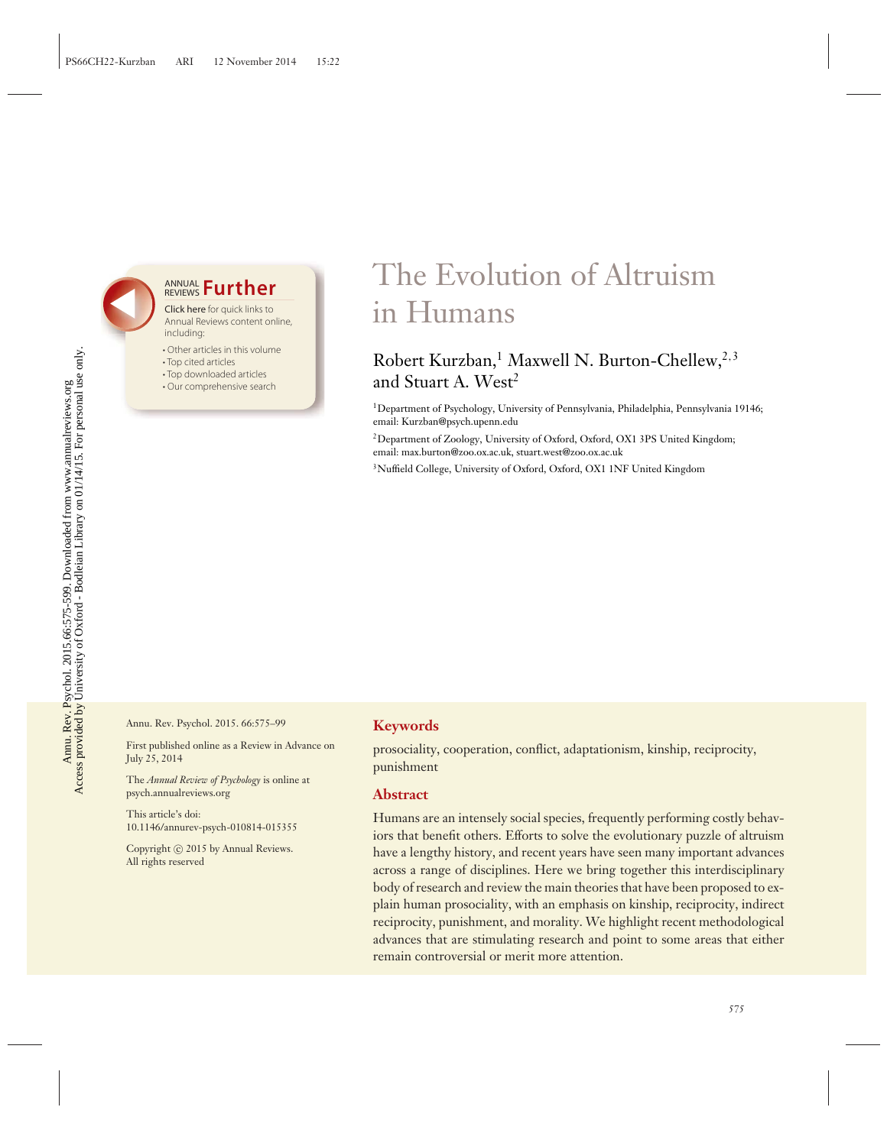# **ANNUAL Further**

Click here for quick links to Annual Reviews content online, including:

- Other articles in this volume
- Top cited articles
- Top downloaded articles
- Our comprehensive search

# The Evolution of Altruism in Humans

# Robert Kurzban,<sup>1</sup> Maxwell N. Burton-Chellew,<sup>2,3</sup> and Stuart A. West2

<sup>1</sup>Department of Psychology, University of Pennsylvania, Philadelphia, Pennsylvania 19146; email: Kurzban@psych.upenn.edu

<sup>2</sup>Department of Zoology, University of Oxford, Oxford, OX1 3PS United Kingdom; email: max.burton@zoo.ox.ac.uk, stuart.west@zoo.ox.ac.uk

<sup>3</sup>Nuffield College, University of Oxford, Oxford, OX1 1NF United Kingdom

Annu. Rev. Psychol. 2015. 66:575–99

First published online as a Review in Advance on July 25, 2014

The *Annual Review of Psychology* is online at psych.annualreviews.org

This article's doi: 10.1146/annurev-psych-010814-015355

Copyright © 2015 by Annual Reviews. All rights reserved

#### **Keywords**

prosociality, cooperation, conflict, adaptationism, kinship, reciprocity, punishment

#### **Abstract**

Humans are an intensely social species, frequently performing costly behaviors that benefit others. Efforts to solve the evolutionary puzzle of altruism have a lengthy history, and recent years have seen many important advances across a range of disciplines. Here we bring together this interdisciplinary body of research and review the main theories that have been proposed to explain human prosociality, with an emphasis on kinship, reciprocity, indirect reciprocity, punishment, and morality. We highlight recent methodological advances that are stimulating research and point to some areas that either remain controversial or merit more attention.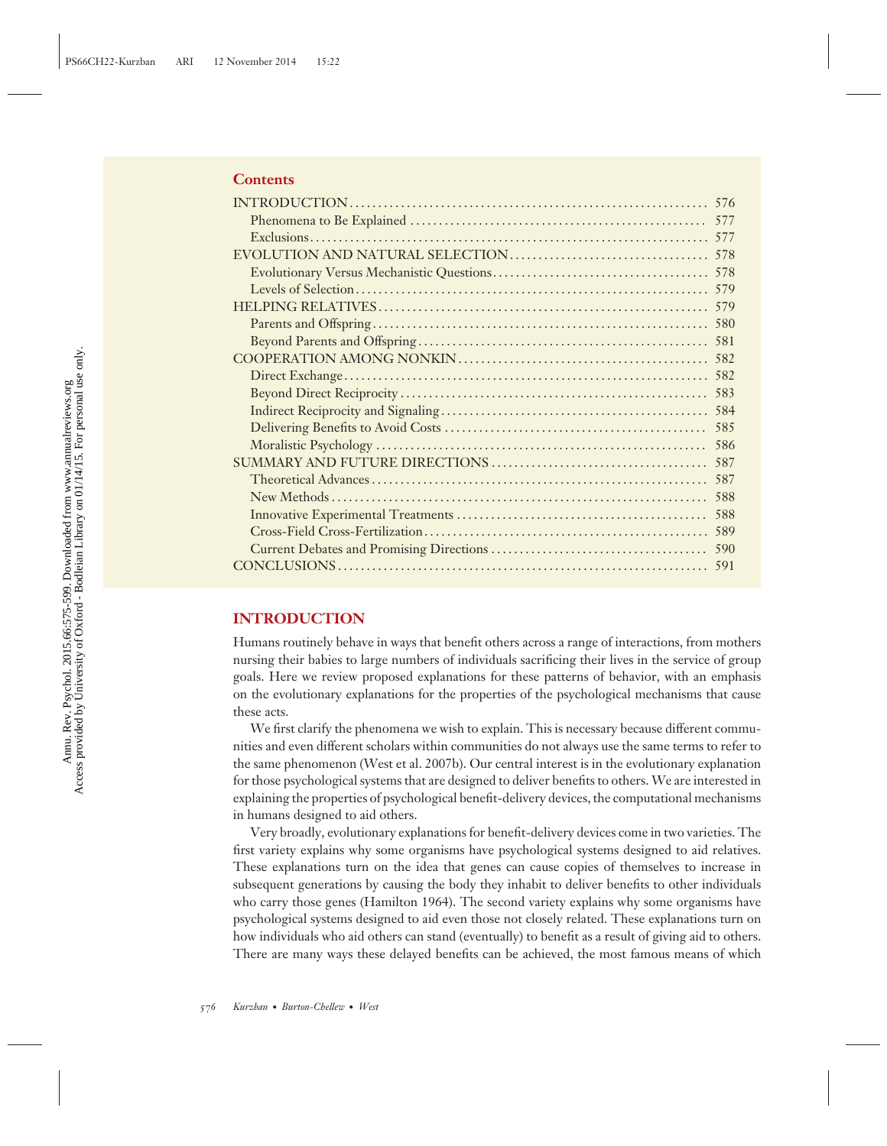# **Contents**

| 586 |
|-----|
|     |
| 587 |
| 588 |
| 588 |
|     |
|     |
|     |

# **INTRODUCTION**

Humans routinely behave in ways that benefit others across a range of interactions, from mothers nursing their babies to large numbers of individuals sacrificing their lives in the service of group goals. Here we review proposed explanations for these patterns of behavior, with an emphasis on the evolutionary explanations for the properties of the psychological mechanisms that cause these acts.

We first clarify the phenomena we wish to explain. This is necessary because different communities and even different scholars within communities do not always use the same terms to refer to the same phenomenon (West et al. 2007b). Our central interest is in the evolutionary explanation for those psychological systems that are designed to deliver benefits to others. We are interested in explaining the properties of psychological benefit-delivery devices, the computational mechanisms in humans designed to aid others.

Very broadly, evolutionary explanations for benefit-delivery devices come in two varieties. The first variety explains why some organisms have psychological systems designed to aid relatives. These explanations turn on the idea that genes can cause copies of themselves to increase in subsequent generations by causing the body they inhabit to deliver benefits to other individuals who carry those genes (Hamilton 1964). The second variety explains why some organisms have psychological systems designed to aid even those not closely related. These explanations turn on how individuals who aid others can stand (eventually) to benefit as a result of giving aid to others. There are many ways these delayed benefits can be achieved, the most famous means of which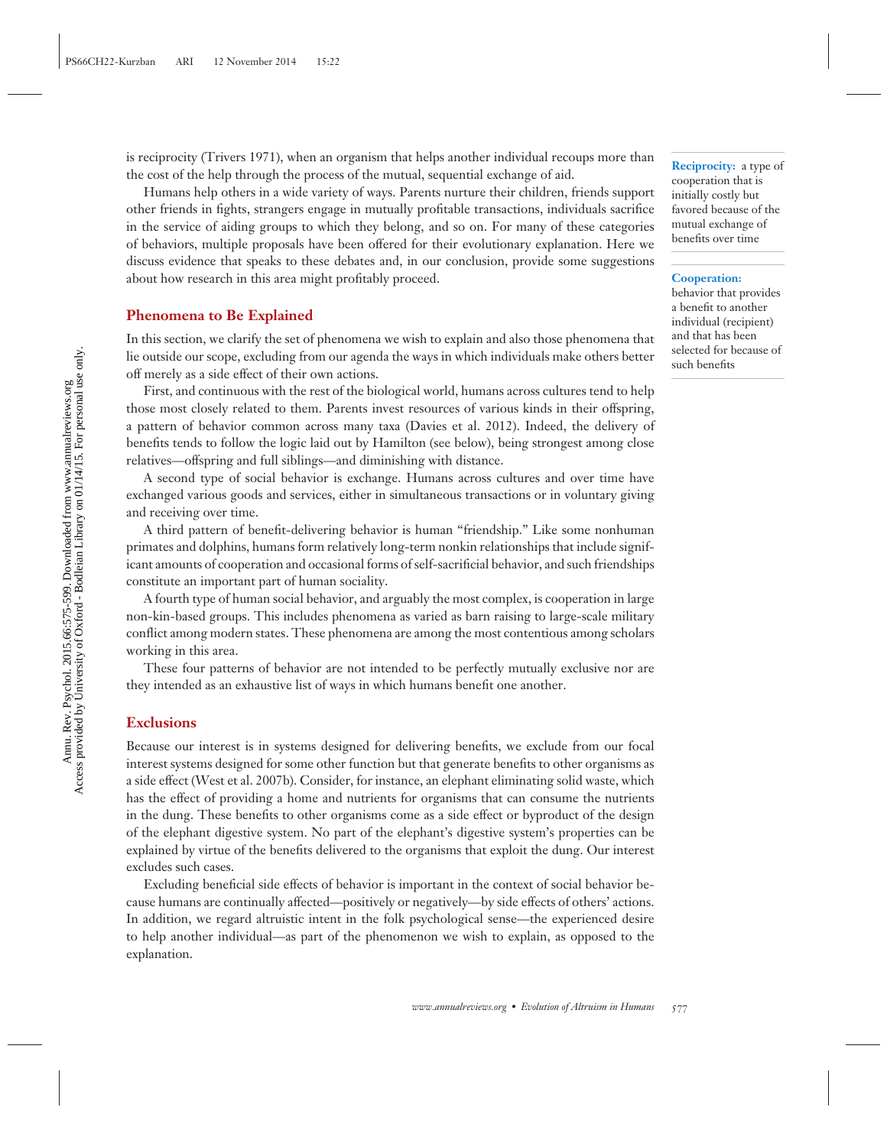is reciprocity (Trivers 1971), when an organism that helps another individual recoups more than the cost of the help through the process of the mutual, sequential exchange of aid.

Humans help others in a wide variety of ways. Parents nurture their children, friends support other friends in fights, strangers engage in mutually profitable transactions, individuals sacrifice in the service of aiding groups to which they belong, and so on. For many of these categories of behaviors, multiple proposals have been offered for their evolutionary explanation. Here we discuss evidence that speaks to these debates and, in our conclusion, provide some suggestions about how research in this area might profitably proceed.

#### **Phenomena to Be Explained**

In this section, we clarify the set of phenomena we wish to explain and also those phenomena that lie outside our scope, excluding from our agenda the ways in which individuals make others better off merely as a side effect of their own actions.

First, and continuous with the rest of the biological world, humans across cultures tend to help those most closely related to them. Parents invest resources of various kinds in their offspring, a pattern of behavior common across many taxa (Davies et al. 2012). Indeed, the delivery of benefits tends to follow the logic laid out by Hamilton (see below), being strongest among close relatives—offspring and full siblings—and diminishing with distance.

A second type of social behavior is exchange. Humans across cultures and over time have exchanged various goods and services, either in simultaneous transactions or in voluntary giving and receiving over time.

A third pattern of benefit-delivering behavior is human "friendship." Like some nonhuman primates and dolphins, humans form relatively long-term nonkin relationships that include significant amounts of cooperation and occasional forms of self-sacrificial behavior, and such friendships constitute an important part of human sociality.

A fourth type of human social behavior, and arguably the most complex, is cooperation in large non-kin-based groups. This includes phenomena as varied as barn raising to large-scale military conflict among modern states. These phenomena are among the most contentious among scholars working in this area.

These four patterns of behavior are not intended to be perfectly mutually exclusive nor are they intended as an exhaustive list of ways in which humans benefit one another.

# **Exclusions**

Because our interest is in systems designed for delivering benefits, we exclude from our focal interest systems designed for some other function but that generate benefits to other organisms as a side effect (West et al. 2007b). Consider, for instance, an elephant eliminating solid waste, which has the effect of providing a home and nutrients for organisms that can consume the nutrients in the dung. These benefits to other organisms come as a side effect or byproduct of the design of the elephant digestive system. No part of the elephant's digestive system's properties can be explained by virtue of the benefits delivered to the organisms that exploit the dung. Our interest excludes such cases.

Excluding beneficial side effects of behavior is important in the context of social behavior because humans are continually affected—positively or negatively—by side effects of others' actions. In addition, we regard altruistic intent in the folk psychological sense—the experienced desire to help another individual—as part of the phenomenon we wish to explain, as opposed to the explanation.

**Reciprocity:** a type of cooperation that is initially costly but favored because of the mutual exchange of benefits over time

#### **Cooperation:**

behavior that provides a benefit to another individual (recipient) and that has been selected for because of such benefits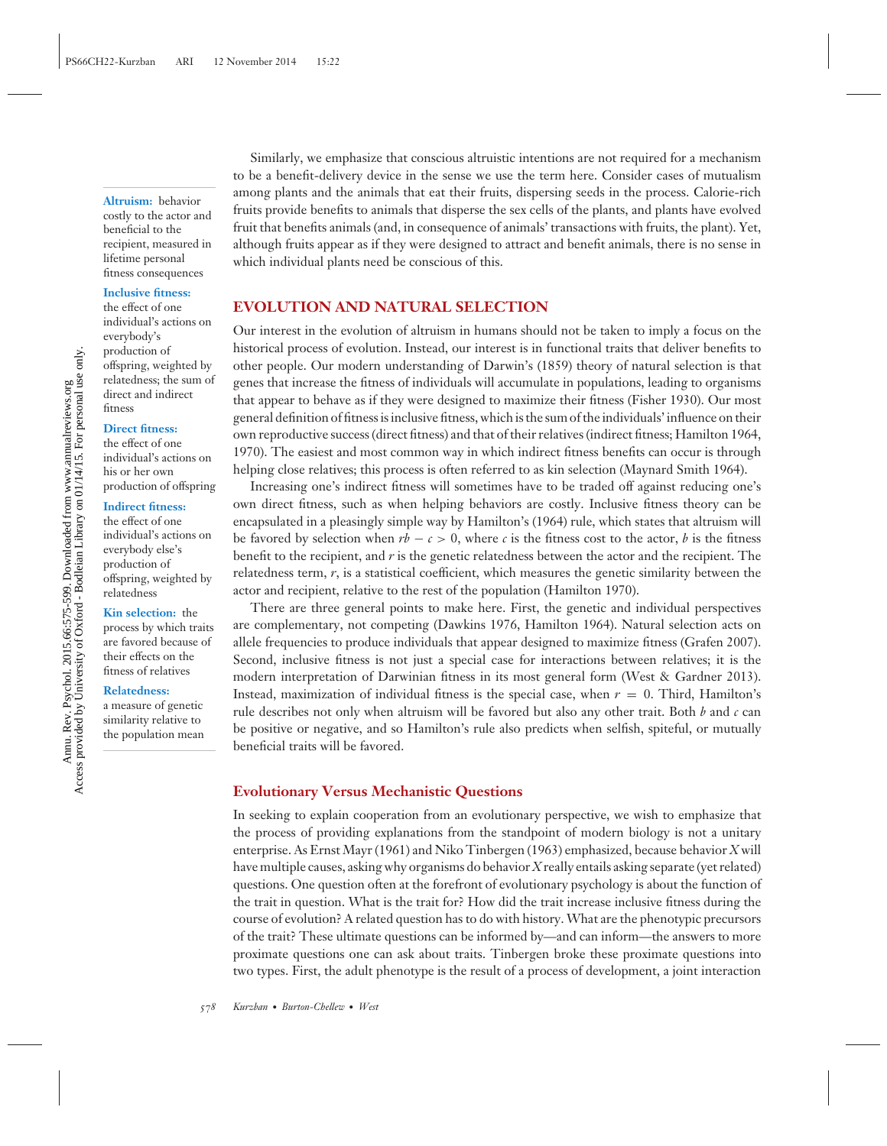**Altruism:** behavior costly to the actor and beneficial to the recipient, measured in lifetime personal fitness consequences

#### **Inclusive fitness:**

the effect of one individual's actions on everybody's production of offspring, weighted by relatedness; the sum of direct and indirect fitness

#### **Direct fitness:**

the effect of one individual's actions on his or her own production of offspring

#### **Indirect fitness:**

the effect of one individual's actions on everybody else's production of offspring, weighted by relatedness

#### **Kin selection:** the

process by which traits are favored because of their effects on the fitness of relatives

#### **Relatedness:**

a measure of genetic similarity relative to the population mean

Similarly, we emphasize that conscious altruistic intentions are not required for a mechanism to be a benefit-delivery device in the sense we use the term here. Consider cases of mutualism among plants and the animals that eat their fruits, dispersing seeds in the process. Calorie-rich fruits provide benefits to animals that disperse the sex cells of the plants, and plants have evolved fruit that benefits animals (and, in consequence of animals' transactions with fruits, the plant). Yet, although fruits appear as if they were designed to attract and benefit animals, there is no sense in which individual plants need be conscious of this.

# **EVOLUTION AND NATURAL SELECTION**

Our interest in the evolution of altruism in humans should not be taken to imply a focus on the historical process of evolution. Instead, our interest is in functional traits that deliver benefits to other people. Our modern understanding of Darwin's (1859) theory of natural selection is that genes that increase the fitness of individuals will accumulate in populations, leading to organisms that appear to behave as if they were designed to maximize their fitness (Fisher 1930). Our most general definition of fitness is inclusive fitness, which is the sum of the individuals' influence on their own reproductive success (direct fitness) and that of their relatives (indirect fitness; Hamilton 1964, 1970). The easiest and most common way in which indirect fitness benefits can occur is through helping close relatives; this process is often referred to as kin selection (Maynard Smith 1964).

Increasing one's indirect fitness will sometimes have to be traded off against reducing one's own direct fitness, such as when helping behaviors are costly. Inclusive fitness theory can be encapsulated in a pleasingly simple way by Hamilton's (1964) rule, which states that altruism will be favored by selection when  $rb - c > 0$ , where *c* is the fitness cost to the actor, *b* is the fitness benefit to the recipient, and *r* is the genetic relatedness between the actor and the recipient. The relatedness term, *r*, is a statistical coefficient, which measures the genetic similarity between the actor and recipient, relative to the rest of the population (Hamilton 1970).

There are three general points to make here. First, the genetic and individual perspectives are complementary, not competing (Dawkins 1976, Hamilton 1964). Natural selection acts on allele frequencies to produce individuals that appear designed to maximize fitness (Grafen 2007). Second, inclusive fitness is not just a special case for interactions between relatives; it is the modern interpretation of Darwinian fitness in its most general form (West & Gardner 2013). Instead, maximization of individual fitness is the special case, when  $r = 0$ . Third, Hamilton's rule describes not only when altruism will be favored but also any other trait. Both *b* and *c* can be positive or negative, and so Hamilton's rule also predicts when selfish, spiteful, or mutually beneficial traits will be favored.

# **Evolutionary Versus Mechanistic Questions**

In seeking to explain cooperation from an evolutionary perspective, we wish to emphasize that the process of providing explanations from the standpoint of modern biology is not a unitary enterprise. As Ernst Mayr (1961) and Niko Tinbergen (1963) emphasized, because behavior *X* will have multiple causes, asking why organisms do behavior *X* really entails asking separate (yet related) questions. One question often at the forefront of evolutionary psychology is about the function of the trait in question. What is the trait for? How did the trait increase inclusive fitness during the course of evolution? A related question has to do with history. What are the phenotypic precursors of the trait? These ultimate questions can be informed by—and can inform—the answers to more proximate questions one can ask about traits. Tinbergen broke these proximate questions into two types. First, the adult phenotype is the result of a process of development, a joint interaction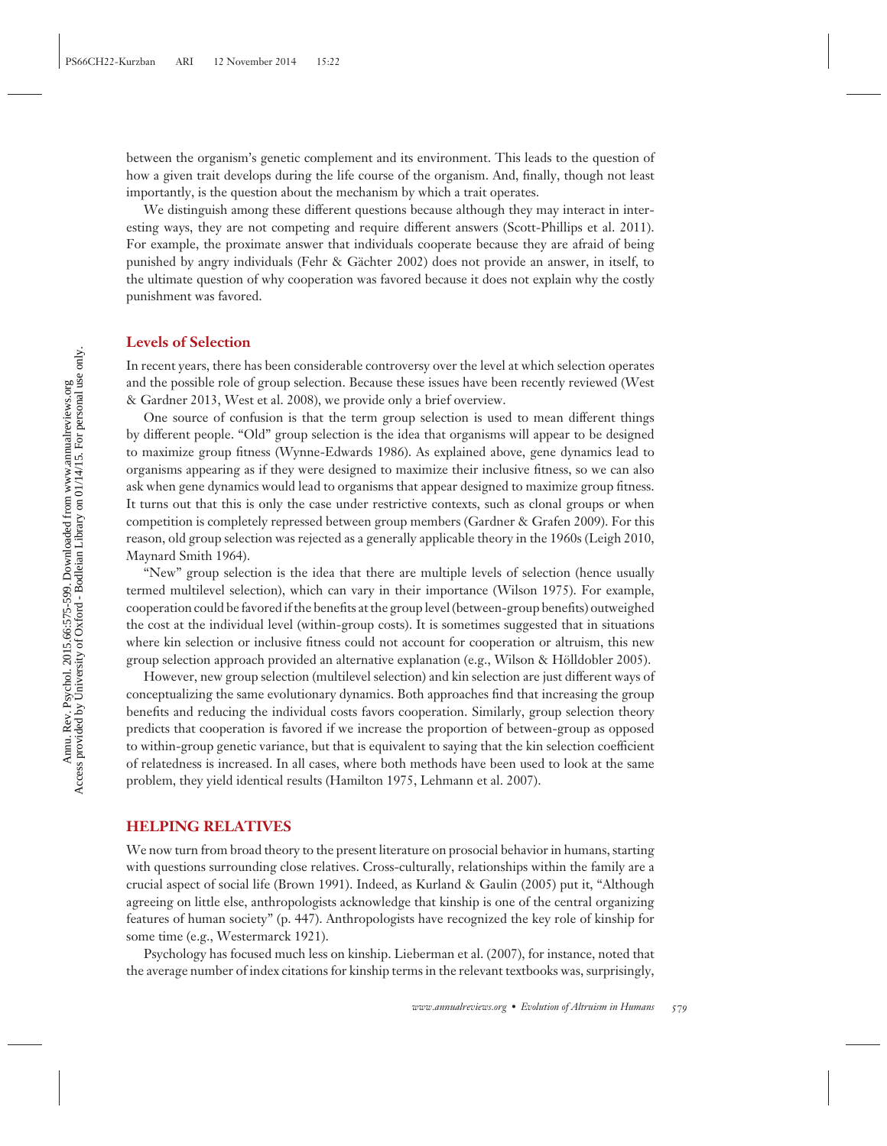between the organism's genetic complement and its environment. This leads to the question of how a given trait develops during the life course of the organism. And, finally, though not least importantly, is the question about the mechanism by which a trait operates.

We distinguish among these different questions because although they may interact in interesting ways, they are not competing and require different answers (Scott-Phillips et al. 2011). For example, the proximate answer that individuals cooperate because they are afraid of being punished by angry individuals (Fehr & Gächter 2002) does not provide an answer, in itself, to the ultimate question of why cooperation was favored because it does not explain why the costly punishment was favored.

# **Levels of Selection**

In recent years, there has been considerable controversy over the level at which selection operates and the possible role of group selection. Because these issues have been recently reviewed (West & Gardner 2013, West et al. 2008), we provide only a brief overview.

One source of confusion is that the term group selection is used to mean different things by different people. "Old" group selection is the idea that organisms will appear to be designed to maximize group fitness (Wynne-Edwards 1986). As explained above, gene dynamics lead to organisms appearing as if they were designed to maximize their inclusive fitness, so we can also ask when gene dynamics would lead to organisms that appear designed to maximize group fitness. It turns out that this is only the case under restrictive contexts, such as clonal groups or when competition is completely repressed between group members (Gardner & Grafen 2009). For this reason, old group selection was rejected as a generally applicable theory in the 1960s (Leigh 2010, Maynard Smith 1964).

"New" group selection is the idea that there are multiple levels of selection (hence usually termed multilevel selection), which can vary in their importance (Wilson 1975). For example, cooperation could be favored if the benefits at the group level (between-group benefits) outweighed the cost at the individual level (within-group costs). It is sometimes suggested that in situations where kin selection or inclusive fitness could not account for cooperation or altruism, this new group selection approach provided an alternative explanation (e.g., Wilson & Hölldobler 2005).

However, new group selection (multilevel selection) and kin selection are just different ways of conceptualizing the same evolutionary dynamics. Both approaches find that increasing the group benefits and reducing the individual costs favors cooperation. Similarly, group selection theory predicts that cooperation is favored if we increase the proportion of between-group as opposed to within-group genetic variance, but that is equivalent to saying that the kin selection coefficient of relatedness is increased. In all cases, where both methods have been used to look at the same problem, they yield identical results (Hamilton 1975, Lehmann et al. 2007).

# **HELPING RELATIVES**

We now turn from broad theory to the present literature on prosocial behavior in humans, starting with questions surrounding close relatives. Cross-culturally, relationships within the family are a crucial aspect of social life (Brown 1991). Indeed, as Kurland & Gaulin (2005) put it, "Although agreeing on little else, anthropologists acknowledge that kinship is one of the central organizing features of human society" (p. 447). Anthropologists have recognized the key role of kinship for some time (e.g., Westermarck 1921).

Psychology has focused much less on kinship. Lieberman et al. (2007), for instance, noted that the average number of index citations for kinship terms in the relevant textbooks was, surprisingly,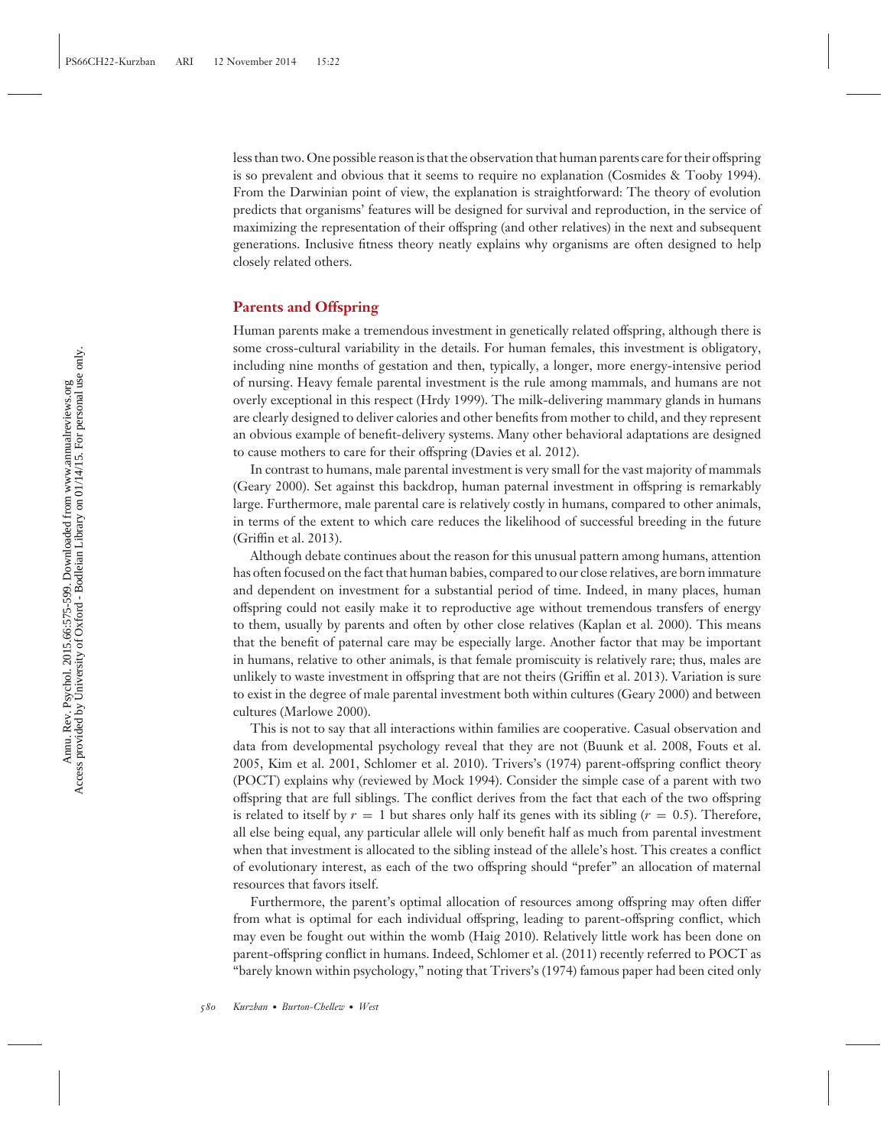less than two. One possible reason is that the observation that human parents care for their offspring is so prevalent and obvious that it seems to require no explanation (Cosmides & Tooby 1994). From the Darwinian point of view, the explanation is straightforward: The theory of evolution predicts that organisms' features will be designed for survival and reproduction, in the service of maximizing the representation of their offspring (and other relatives) in the next and subsequent generations. Inclusive fitness theory neatly explains why organisms are often designed to help closely related others.

### **Parents and Offspring**

Human parents make a tremendous investment in genetically related offspring, although there is some cross-cultural variability in the details. For human females, this investment is obligatory, including nine months of gestation and then, typically, a longer, more energy-intensive period of nursing. Heavy female parental investment is the rule among mammals, and humans are not overly exceptional in this respect (Hrdy 1999). The milk-delivering mammary glands in humans are clearly designed to deliver calories and other benefits from mother to child, and they represent an obvious example of benefit-delivery systems. Many other behavioral adaptations are designed to cause mothers to care for their offspring (Davies et al. 2012).

In contrast to humans, male parental investment is very small for the vast majority of mammals (Geary 2000). Set against this backdrop, human paternal investment in offspring is remarkably large. Furthermore, male parental care is relatively costly in humans, compared to other animals, in terms of the extent to which care reduces the likelihood of successful breeding in the future (Griffin et al. 2013).

Although debate continues about the reason for this unusual pattern among humans, attention has often focused on the fact that human babies, compared to our close relatives, are born immature and dependent on investment for a substantial period of time. Indeed, in many places, human offspring could not easily make it to reproductive age without tremendous transfers of energy to them, usually by parents and often by other close relatives (Kaplan et al. 2000). This means that the benefit of paternal care may be especially large. Another factor that may be important in humans, relative to other animals, is that female promiscuity is relatively rare; thus, males are unlikely to waste investment in offspring that are not theirs (Griffin et al. 2013). Variation is sure to exist in the degree of male parental investment both within cultures (Geary 2000) and between cultures (Marlowe 2000).

This is not to say that all interactions within families are cooperative. Casual observation and data from developmental psychology reveal that they are not (Buunk et al. 2008, Fouts et al. 2005, Kim et al. 2001, Schlomer et al. 2010). Trivers's (1974) parent-offspring conflict theory (POCT) explains why (reviewed by Mock 1994). Consider the simple case of a parent with two offspring that are full siblings. The conflict derives from the fact that each of the two offspring is related to itself by  $r = 1$  but shares only half its genes with its sibling  $(r = 0.5)$ . Therefore, all else being equal, any particular allele will only benefit half as much from parental investment when that investment is allocated to the sibling instead of the allele's host. This creates a conflict of evolutionary interest, as each of the two offspring should "prefer" an allocation of maternal resources that favors itself.

Furthermore, the parent's optimal allocation of resources among offspring may often differ from what is optimal for each individual offspring, leading to parent-offspring conflict, which may even be fought out within the womb (Haig 2010). Relatively little work has been done on parent-offspring conflict in humans. Indeed, Schlomer et al. (2011) recently referred to POCT as "barely known within psychology," noting that Trivers's (1974) famous paper had been cited only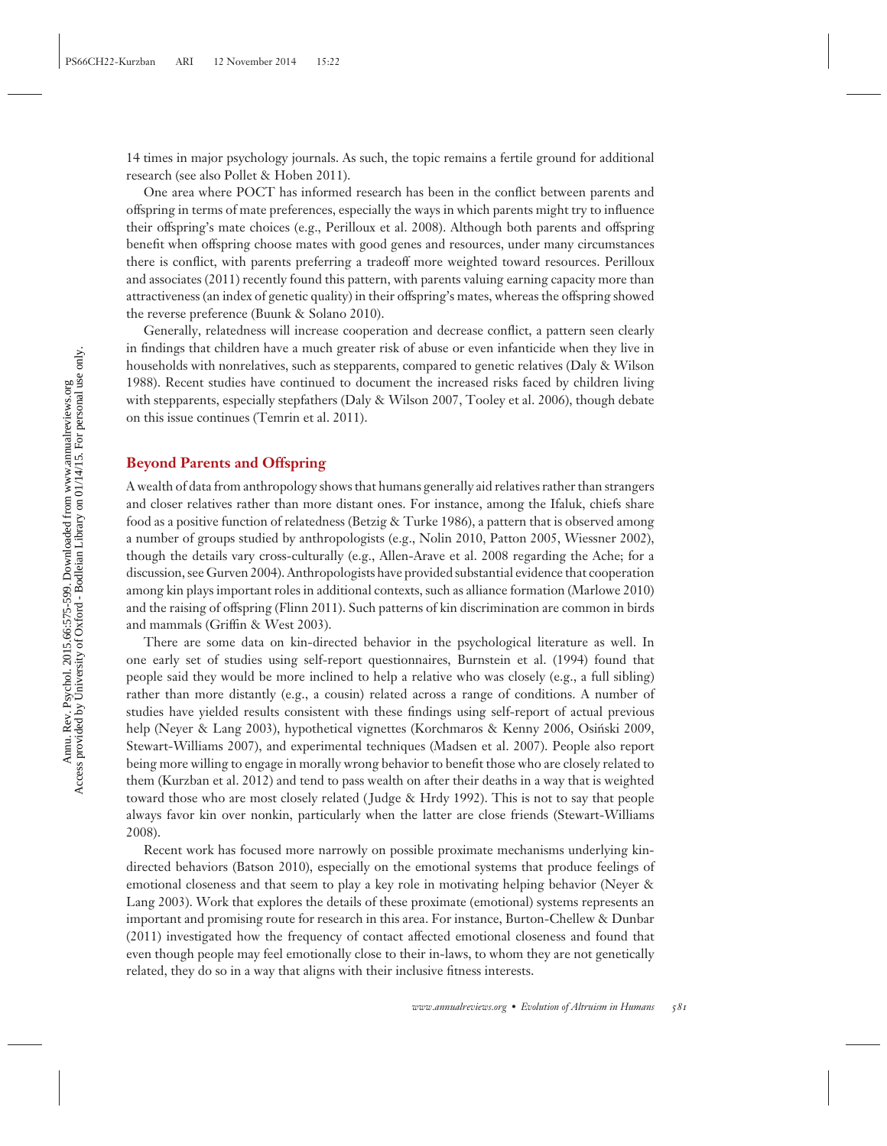14 times in major psychology journals. As such, the topic remains a fertile ground for additional research (see also Pollet & Hoben 2011).

One area where POCT has informed research has been in the conflict between parents and offspring in terms of mate preferences, especially the ways in which parents might try to influence their offspring's mate choices (e.g., Perilloux et al. 2008). Although both parents and offspring benefit when offspring choose mates with good genes and resources, under many circumstances there is conflict, with parents preferring a tradeoff more weighted toward resources. Perilloux and associates (2011) recently found this pattern, with parents valuing earning capacity more than attractiveness (an index of genetic quality) in their offspring's mates, whereas the offspring showed the reverse preference (Buunk & Solano 2010).

Generally, relatedness will increase cooperation and decrease conflict, a pattern seen clearly in findings that children have a much greater risk of abuse or even infanticide when they live in households with nonrelatives, such as stepparents, compared to genetic relatives (Daly & Wilson 1988). Recent studies have continued to document the increased risks faced by children living with stepparents, especially stepfathers (Daly & Wilson 2007, Tooley et al. 2006), though debate on this issue continues (Temrin et al. 2011).

# **Beyond Parents and Offspring**

A wealth of data from anthropology shows that humans generally aid relatives rather than strangers and closer relatives rather than more distant ones. For instance, among the Ifaluk, chiefs share food as a positive function of relatedness (Betzig & Turke 1986), a pattern that is observed among a number of groups studied by anthropologists (e.g., Nolin 2010, Patton 2005, Wiessner 2002), though the details vary cross-culturally (e.g., Allen-Arave et al. 2008 regarding the Ache; for a discussion, see Gurven 2004). Anthropologists have provided substantial evidence that cooperation among kin plays important roles in additional contexts, such as alliance formation (Marlowe 2010) and the raising of offspring (Flinn 2011). Such patterns of kin discrimination are common in birds and mammals (Griffin & West 2003).

There are some data on kin-directed behavior in the psychological literature as well. In one early set of studies using self-report questionnaires, Burnstein et al. (1994) found that people said they would be more inclined to help a relative who was closely (e.g., a full sibling) rather than more distantly (e.g., a cousin) related across a range of conditions. A number of studies have yielded results consistent with these findings using self-report of actual previous help (Neyer & Lang 2003), hypothetical vignettes (Korchmaros & Kenny 2006, Osiński 2009, Stewart-Williams 2007), and experimental techniques (Madsen et al. 2007). People also report being more willing to engage in morally wrong behavior to benefit those who are closely related to them (Kurzban et al. 2012) and tend to pass wealth on after their deaths in a way that is weighted toward those who are most closely related ( Judge & Hrdy 1992). This is not to say that people always favor kin over nonkin, particularly when the latter are close friends (Stewart-Williams 2008).

Recent work has focused more narrowly on possible proximate mechanisms underlying kindirected behaviors (Batson 2010), especially on the emotional systems that produce feelings of emotional closeness and that seem to play a key role in motivating helping behavior (Neyer & Lang 2003). Work that explores the details of these proximate (emotional) systems represents an important and promising route for research in this area. For instance, Burton-Chellew & Dunbar (2011) investigated how the frequency of contact affected emotional closeness and found that even though people may feel emotionally close to their in-laws, to whom they are not genetically related, they do so in a way that aligns with their inclusive fitness interests.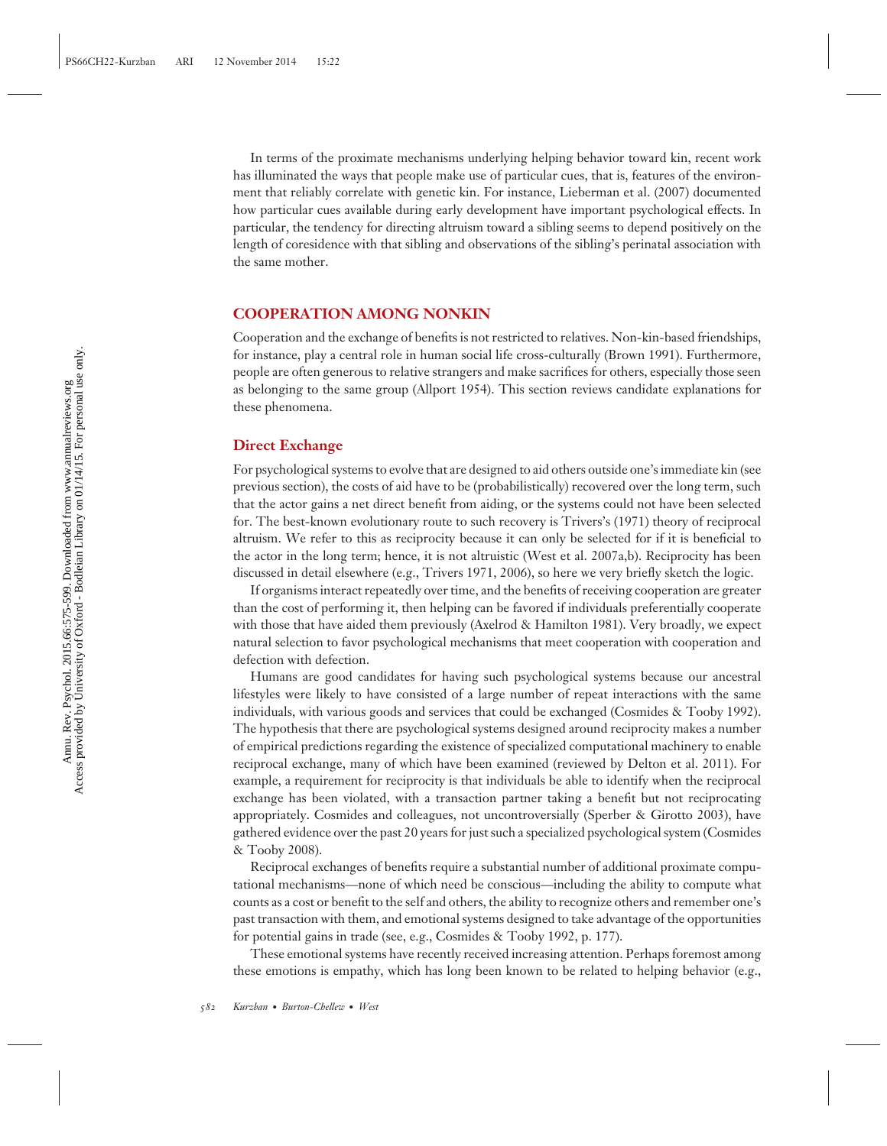In terms of the proximate mechanisms underlying helping behavior toward kin, recent work has illuminated the ways that people make use of particular cues, that is, features of the environment that reliably correlate with genetic kin. For instance, Lieberman et al. (2007) documented how particular cues available during early development have important psychological effects. In particular, the tendency for directing altruism toward a sibling seems to depend positively on the length of coresidence with that sibling and observations of the sibling's perinatal association with the same mother.

# **COOPERATION AMONG NONKIN**

Cooperation and the exchange of benefits is not restricted to relatives. Non-kin-based friendships, for instance, play a central role in human social life cross-culturally (Brown 1991). Furthermore, people are often generous to relative strangers and make sacrifices for others, especially those seen as belonging to the same group (Allport 1954). This section reviews candidate explanations for these phenomena.

#### **Direct Exchange**

For psychological systems to evolve that are designed to aid others outside one's immediate kin (see previous section), the costs of aid have to be (probabilistically) recovered over the long term, such that the actor gains a net direct benefit from aiding, or the systems could not have been selected for. The best-known evolutionary route to such recovery is Trivers's (1971) theory of reciprocal altruism. We refer to this as reciprocity because it can only be selected for if it is beneficial to the actor in the long term; hence, it is not altruistic (West et al. 2007a,b). Reciprocity has been discussed in detail elsewhere (e.g., Trivers 1971, 2006), so here we very briefly sketch the logic.

If organisms interact repeatedly over time, and the benefits of receiving cooperation are greater than the cost of performing it, then helping can be favored if individuals preferentially cooperate with those that have aided them previously (Axelrod & Hamilton 1981). Very broadly, we expect natural selection to favor psychological mechanisms that meet cooperation with cooperation and defection with defection.

Humans are good candidates for having such psychological systems because our ancestral lifestyles were likely to have consisted of a large number of repeat interactions with the same individuals, with various goods and services that could be exchanged (Cosmides & Tooby 1992). The hypothesis that there are psychological systems designed around reciprocity makes a number of empirical predictions regarding the existence of specialized computational machinery to enable reciprocal exchange, many of which have been examined (reviewed by Delton et al. 2011). For example, a requirement for reciprocity is that individuals be able to identify when the reciprocal exchange has been violated, with a transaction partner taking a benefit but not reciprocating appropriately. Cosmides and colleagues, not uncontroversially (Sperber & Girotto 2003), have gathered evidence over the past 20 years for just such a specialized psychological system (Cosmides & Tooby 2008).

Reciprocal exchanges of benefits require a substantial number of additional proximate computational mechanisms—none of which need be conscious—including the ability to compute what counts as a cost or benefit to the self and others, the ability to recognize others and remember one's past transaction with them, and emotional systems designed to take advantage of the opportunities for potential gains in trade (see, e.g., Cosmides & Tooby 1992, p. 177).

These emotional systems have recently received increasing attention. Perhaps foremost among these emotions is empathy, which has long been known to be related to helping behavior (e.g.,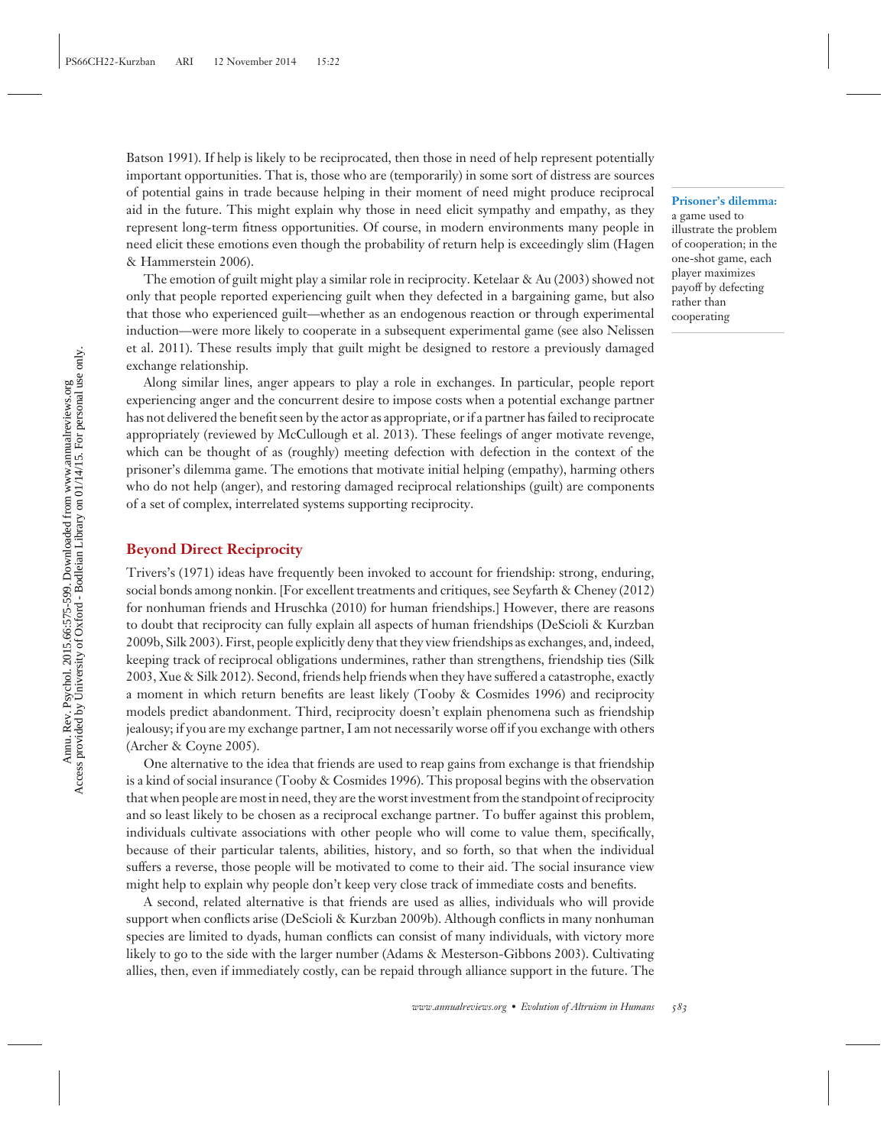Batson 1991). If help is likely to be reciprocated, then those in need of help represent potentially important opportunities. That is, those who are (temporarily) in some sort of distress are sources of potential gains in trade because helping in their moment of need might produce reciprocal aid in the future. This might explain why those in need elicit sympathy and empathy, as they represent long-term fitness opportunities. Of course, in modern environments many people in need elicit these emotions even though the probability of return help is exceedingly slim (Hagen & Hammerstein 2006).

The emotion of guilt might play a similar role in reciprocity. Ketelaar & Au (2003) showed not only that people reported experiencing guilt when they defected in a bargaining game, but also that those who experienced guilt—whether as an endogenous reaction or through experimental induction—were more likely to cooperate in a subsequent experimental game (see also Nelissen et al. 2011). These results imply that guilt might be designed to restore a previously damaged exchange relationship.

Along similar lines, anger appears to play a role in exchanges. In particular, people report experiencing anger and the concurrent desire to impose costs when a potential exchange partner has not delivered the benefit seen by the actor as appropriate, or if a partner has failed to reciprocate appropriately (reviewed by McCullough et al. 2013). These feelings of anger motivate revenge, which can be thought of as (roughly) meeting defection with defection in the context of the prisoner's dilemma game. The emotions that motivate initial helping (empathy), harming others who do not help (anger), and restoring damaged reciprocal relationships (guilt) are components of a set of complex, interrelated systems supporting reciprocity.

### **Beyond Direct Reciprocity**

Trivers's (1971) ideas have frequently been invoked to account for friendship: strong, enduring, social bonds among nonkin. [For excellent treatments and critiques, see Seyfarth & Cheney (2012) for nonhuman friends and Hruschka (2010) for human friendships.] However, there are reasons to doubt that reciprocity can fully explain all aspects of human friendships (DeScioli & Kurzban 2009b, Silk 2003). First, people explicitly deny that they view friendships as exchanges, and, indeed, keeping track of reciprocal obligations undermines, rather than strengthens, friendship ties (Silk 2003, Xue & Silk 2012). Second, friends help friends when they have suffered a catastrophe, exactly a moment in which return benefits are least likely (Tooby & Cosmides 1996) and reciprocity models predict abandonment. Third, reciprocity doesn't explain phenomena such as friendship jealousy; if you are my exchange partner, I am not necessarily worse off if you exchange with others (Archer & Coyne 2005).

One alternative to the idea that friends are used to reap gains from exchange is that friendship is a kind of social insurance (Tooby & Cosmides 1996). This proposal begins with the observation that when people are most in need, they are the worst investment from the standpoint of reciprocity and so least likely to be chosen as a reciprocal exchange partner. To buffer against this problem, individuals cultivate associations with other people who will come to value them, specifically, because of their particular talents, abilities, history, and so forth, so that when the individual suffers a reverse, those people will be motivated to come to their aid. The social insurance view might help to explain why people don't keep very close track of immediate costs and benefits.

A second, related alternative is that friends are used as allies, individuals who will provide support when conflicts arise (DeScioli & Kurzban 2009b). Although conflicts in many nonhuman species are limited to dyads, human conflicts can consist of many individuals, with victory more likely to go to the side with the larger number (Adams & Mesterson-Gibbons 2003). Cultivating allies, then, even if immediately costly, can be repaid through alliance support in the future. The **Prisoner's dilemma:** a game used to illustrate the problem of cooperation; in the one-shot game, each player maximizes payoff by defecting rather than cooperating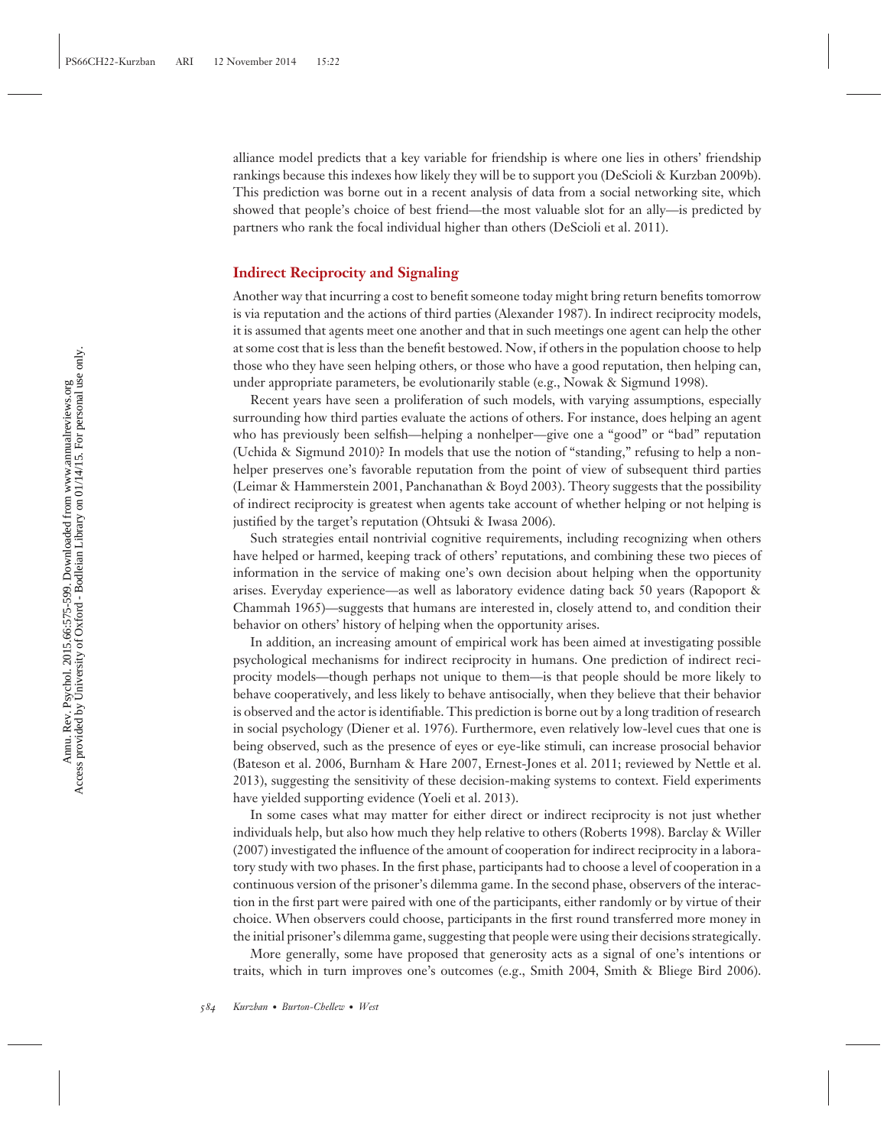alliance model predicts that a key variable for friendship is where one lies in others' friendship rankings because this indexes how likely they will be to support you (DeScioli & Kurzban 2009b). This prediction was borne out in a recent analysis of data from a social networking site, which showed that people's choice of best friend—the most valuable slot for an ally—is predicted by partners who rank the focal individual higher than others (DeScioli et al. 2011).

#### **Indirect Reciprocity and Signaling**

Another way that incurring a cost to benefit someone today might bring return benefits tomorrow is via reputation and the actions of third parties (Alexander 1987). In indirect reciprocity models, it is assumed that agents meet one another and that in such meetings one agent can help the other at some cost that is less than the benefit bestowed. Now, if others in the population choose to help those who they have seen helping others, or those who have a good reputation, then helping can, under appropriate parameters, be evolutionarily stable (e.g., Nowak & Sigmund 1998).

Recent years have seen a proliferation of such models, with varying assumptions, especially surrounding how third parties evaluate the actions of others. For instance, does helping an agent who has previously been selfish—helping a nonhelper—give one a "good" or "bad" reputation (Uchida & Sigmund 2010)? In models that use the notion of "standing," refusing to help a nonhelper preserves one's favorable reputation from the point of view of subsequent third parties (Leimar & Hammerstein 2001, Panchanathan & Boyd 2003). Theory suggests that the possibility of indirect reciprocity is greatest when agents take account of whether helping or not helping is justified by the target's reputation (Ohtsuki & Iwasa 2006).

Such strategies entail nontrivial cognitive requirements, including recognizing when others have helped or harmed, keeping track of others' reputations, and combining these two pieces of information in the service of making one's own decision about helping when the opportunity arises. Everyday experience—as well as laboratory evidence dating back 50 years (Rapoport & Chammah 1965)—suggests that humans are interested in, closely attend to, and condition their behavior on others' history of helping when the opportunity arises.

In addition, an increasing amount of empirical work has been aimed at investigating possible psychological mechanisms for indirect reciprocity in humans. One prediction of indirect reciprocity models—though perhaps not unique to them—is that people should be more likely to behave cooperatively, and less likely to behave antisocially, when they believe that their behavior is observed and the actor is identifiable. This prediction is borne out by a long tradition of research in social psychology (Diener et al. 1976). Furthermore, even relatively low-level cues that one is being observed, such as the presence of eyes or eye-like stimuli, can increase prosocial behavior (Bateson et al. 2006, Burnham & Hare 2007, Ernest-Jones et al. 2011; reviewed by Nettle et al. 2013), suggesting the sensitivity of these decision-making systems to context. Field experiments have yielded supporting evidence (Yoeli et al. 2013).

In some cases what may matter for either direct or indirect reciprocity is not just whether individuals help, but also how much they help relative to others (Roberts 1998). Barclay & Willer (2007) investigated the influence of the amount of cooperation for indirect reciprocity in a laboratory study with two phases. In the first phase, participants had to choose a level of cooperation in a continuous version of the prisoner's dilemma game. In the second phase, observers of the interaction in the first part were paired with one of the participants, either randomly or by virtue of their choice. When observers could choose, participants in the first round transferred more money in the initial prisoner's dilemma game, suggesting that people were using their decisions strategically.

More generally, some have proposed that generosity acts as a signal of one's intentions or traits, which in turn improves one's outcomes (e.g., Smith 2004, Smith & Bliege Bird 2006).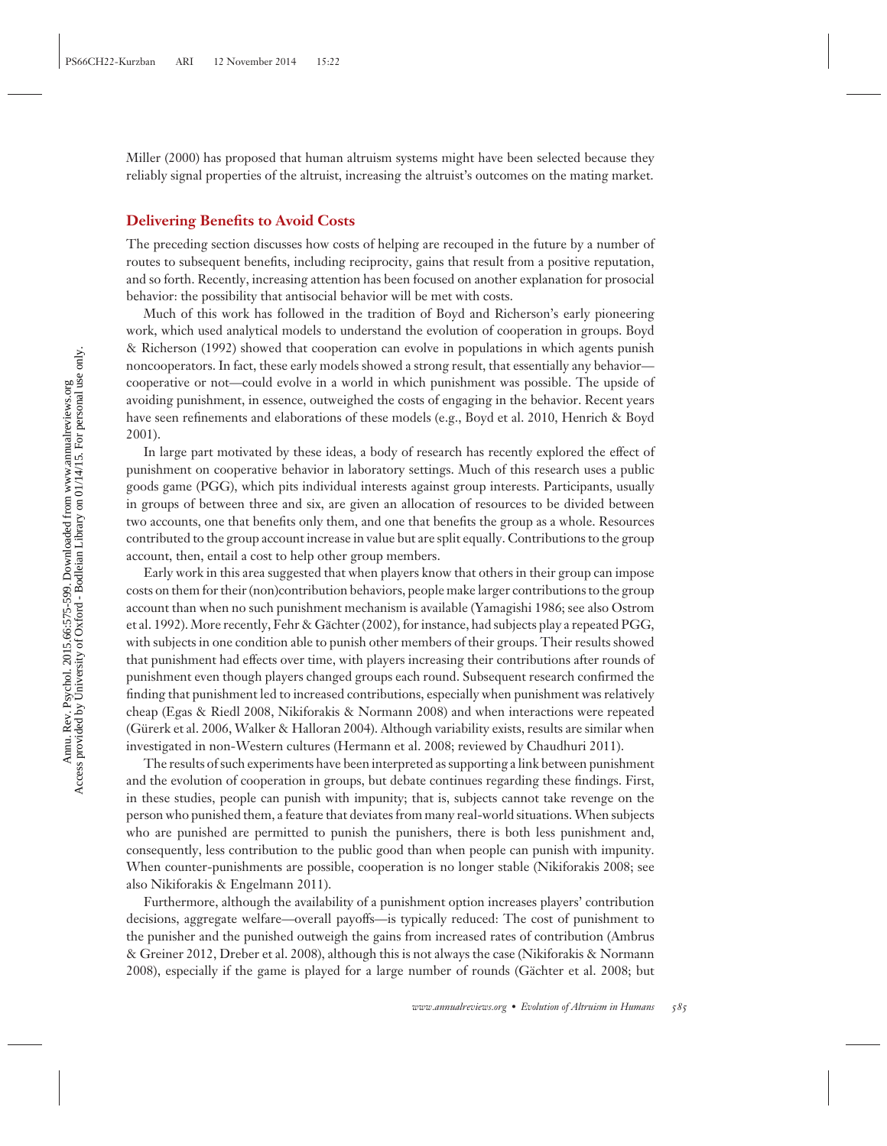Miller (2000) has proposed that human altruism systems might have been selected because they reliably signal properties of the altruist, increasing the altruist's outcomes on the mating market.

#### **Delivering Benefits to Avoid Costs**

The preceding section discusses how costs of helping are recouped in the future by a number of routes to subsequent benefits, including reciprocity, gains that result from a positive reputation, and so forth. Recently, increasing attention has been focused on another explanation for prosocial behavior: the possibility that antisocial behavior will be met with costs.

Much of this work has followed in the tradition of Boyd and Richerson's early pioneering work, which used analytical models to understand the evolution of cooperation in groups. Boyd & Richerson (1992) showed that cooperation can evolve in populations in which agents punish noncooperators. In fact, these early models showed a strong result, that essentially any behavior cooperative or not—could evolve in a world in which punishment was possible. The upside of avoiding punishment, in essence, outweighed the costs of engaging in the behavior. Recent years have seen refinements and elaborations of these models (e.g., Boyd et al. 2010, Henrich & Boyd 2001).

In large part motivated by these ideas, a body of research has recently explored the effect of punishment on cooperative behavior in laboratory settings. Much of this research uses a public goods game (PGG), which pits individual interests against group interests. Participants, usually in groups of between three and six, are given an allocation of resources to be divided between two accounts, one that benefits only them, and one that benefits the group as a whole. Resources contributed to the group account increase in value but are split equally. Contributions to the group account, then, entail a cost to help other group members.

Early work in this area suggested that when players know that others in their group can impose costs on them for their (non)contribution behaviors, people make larger contributions to the group account than when no such punishment mechanism is available (Yamagishi 1986; see also Ostrom et al. 1992). More recently, Fehr & Gächter (2002), for instance, had subjects play a repeated PGG, with subjects in one condition able to punish other members of their groups. Their results showed that punishment had effects over time, with players increasing their contributions after rounds of punishment even though players changed groups each round. Subsequent research confirmed the finding that punishment led to increased contributions, especially when punishment was relatively cheap (Egas & Riedl 2008, Nikiforakis & Normann 2008) and when interactions were repeated (Gürerk et al. 2006, Walker & Halloran 2004). Although variability exists, results are similar when investigated in non-Western cultures (Hermann et al. 2008; reviewed by Chaudhuri 2011).

The results of such experiments have been interpreted as supporting a link between punishment and the evolution of cooperation in groups, but debate continues regarding these findings. First, in these studies, people can punish with impunity; that is, subjects cannot take revenge on the person who punished them, a feature that deviates from many real-world situations.When subjects who are punished are permitted to punish the punishers, there is both less punishment and, consequently, less contribution to the public good than when people can punish with impunity. When counter-punishments are possible, cooperation is no longer stable (Nikiforakis 2008; see also Nikiforakis & Engelmann 2011).

Furthermore, although the availability of a punishment option increases players' contribution decisions, aggregate welfare—overall payoffs—is typically reduced: The cost of punishment to the punisher and the punished outweigh the gains from increased rates of contribution (Ambrus & Greiner 2012, Dreber et al. 2008), although this is not always the case (Nikiforakis & Normann 2008), especially if the game is played for a large number of rounds (Gächter et al. 2008; but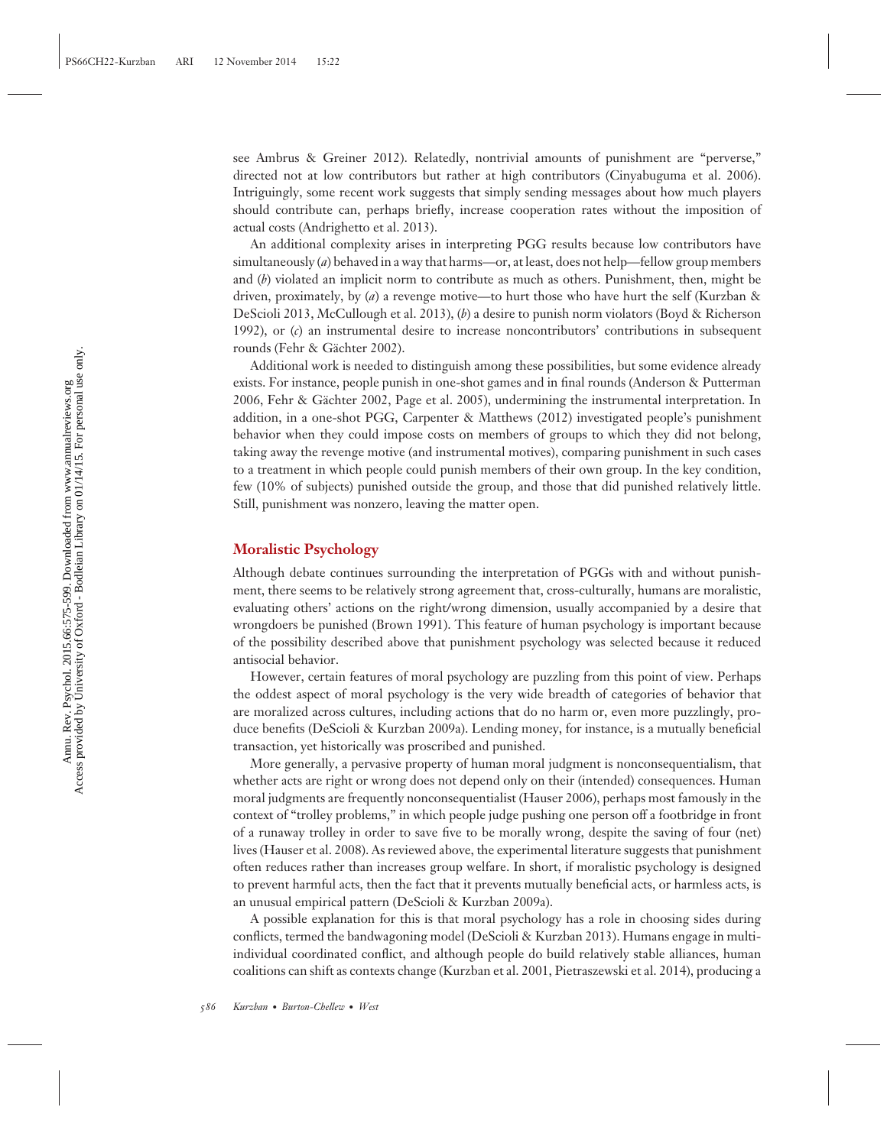see Ambrus & Greiner 2012). Relatedly, nontrivial amounts of punishment are "perverse," directed not at low contributors but rather at high contributors (Cinyabuguma et al. 2006). Intriguingly, some recent work suggests that simply sending messages about how much players should contribute can, perhaps briefly, increase cooperation rates without the imposition of actual costs (Andrighetto et al. 2013).

An additional complexity arises in interpreting PGG results because low contributors have simultaneously (*a*) behaved in a way that harms—or, at least, does not help—fellow group members and (*b*) violated an implicit norm to contribute as much as others. Punishment, then, might be driven, proximately, by (*a*) a revenge motive—to hurt those who have hurt the self (Kurzban & DeScioli 2013, McCullough et al. 2013), (*b*) a desire to punish norm violators (Boyd & Richerson 1992), or (*c*) an instrumental desire to increase noncontributors' contributions in subsequent rounds (Fehr & Gächter 2002).

Additional work is needed to distinguish among these possibilities, but some evidence already exists. For instance, people punish in one-shot games and in final rounds (Anderson & Putterman 2006, Fehr & Gächter 2002, Page et al. 2005), undermining the instrumental interpretation. In addition, in a one-shot PGG, Carpenter & Matthews (2012) investigated people's punishment behavior when they could impose costs on members of groups to which they did not belong, taking away the revenge motive (and instrumental motives), comparing punishment in such cases to a treatment in which people could punish members of their own group. In the key condition, few (10% of subjects) punished outside the group, and those that did punished relatively little. Still, punishment was nonzero, leaving the matter open.

# **Moralistic Psychology**

Although debate continues surrounding the interpretation of PGGs with and without punishment, there seems to be relatively strong agreement that, cross-culturally, humans are moralistic, evaluating others' actions on the right/wrong dimension, usually accompanied by a desire that wrongdoers be punished (Brown 1991). This feature of human psychology is important because of the possibility described above that punishment psychology was selected because it reduced antisocial behavior.

However, certain features of moral psychology are puzzling from this point of view. Perhaps the oddest aspect of moral psychology is the very wide breadth of categories of behavior that are moralized across cultures, including actions that do no harm or, even more puzzlingly, produce benefits (DeScioli & Kurzban 2009a). Lending money, for instance, is a mutually beneficial transaction, yet historically was proscribed and punished.

More generally, a pervasive property of human moral judgment is nonconsequentialism, that whether acts are right or wrong does not depend only on their (intended) consequences. Human moral judgments are frequently nonconsequentialist (Hauser 2006), perhaps most famously in the context of "trolley problems," in which people judge pushing one person off a footbridge in front of a runaway trolley in order to save five to be morally wrong, despite the saving of four (net) lives (Hauser et al. 2008). As reviewed above, the experimental literature suggests that punishment often reduces rather than increases group welfare. In short, if moralistic psychology is designed to prevent harmful acts, then the fact that it prevents mutually beneficial acts, or harmless acts, is an unusual empirical pattern (DeScioli & Kurzban 2009a).

A possible explanation for this is that moral psychology has a role in choosing sides during conflicts, termed the bandwagoning model (DeScioli & Kurzban 2013). Humans engage in multiindividual coordinated conflict, and although people do build relatively stable alliances, human coalitions can shift as contexts change (Kurzban et al. 2001, Pietraszewski et al. 2014), producing a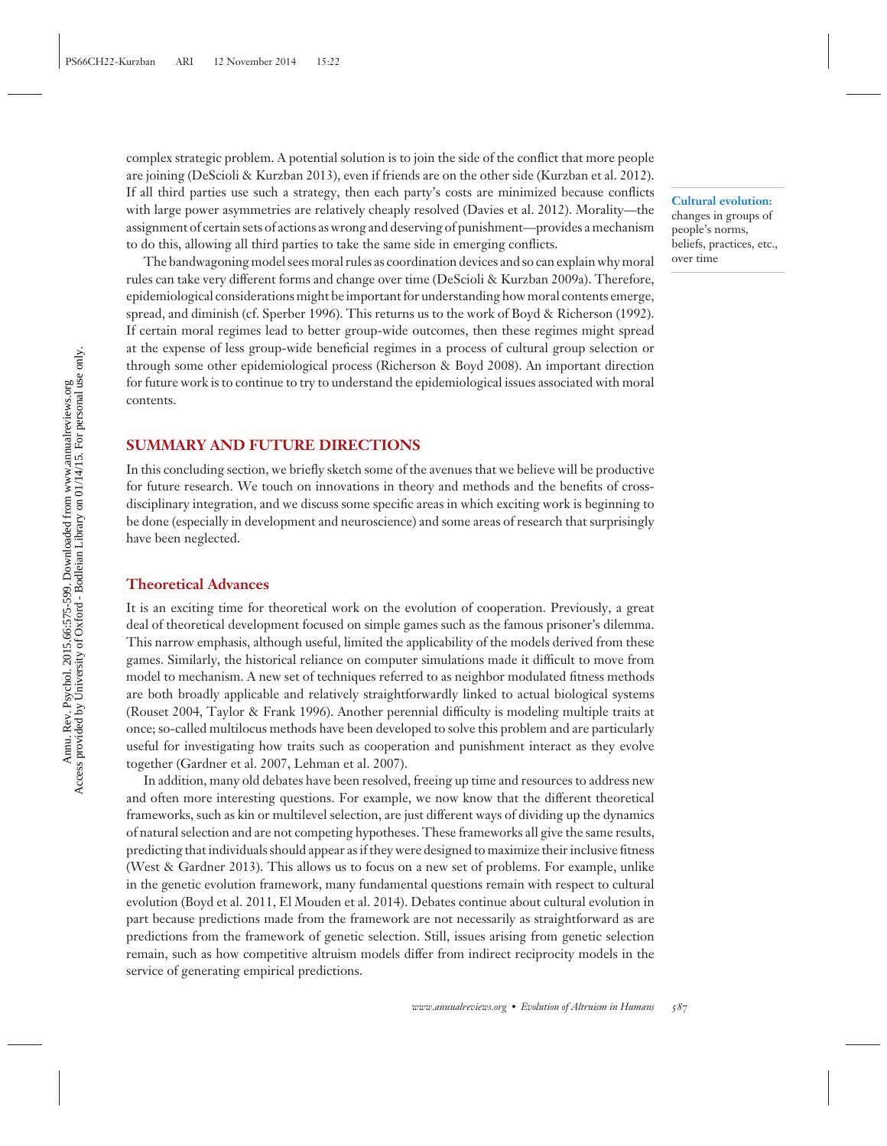complex strategic problem. A potential solution is to join the side of the conflict that more people are joining (DeScioli & Kurzban 2013), even if friends are on the other side (Kurzban et al. 2012). If all third parties use such a strategy, then each party's costs are minimized because conflicts with large power asymmetries are relatively cheaply resolved (Davies et al. 2012). Morality—the assignment of certain sets of actions as wrong and deserving of punishment—provides a mechanism to do this, allowing all third parties to take the same side in emerging conflicts.

The bandwagoning model sees moral rules as coordination devices and so can explain why moral rules can take very different forms and change over time (DeScioli & Kurzban 2009a). Therefore, epidemiological considerations might be important for understanding how moral contents emerge, spread, and diminish (cf. Sperber 1996). This returns us to the work of Boyd & Richerson (1992). If certain moral regimes lead to better group-wide outcomes, then these regimes might spread at the expense of less group-wide beneficial regimes in a process of cultural group selection or through some other epidemiological process (Richerson & Boyd 2008). An important direction for future work is to continue to try to understand the epidemiological issues associated with moral contents.

# **SUMMARY AND FUTURE DIRECTIONS**

In this concluding section, we briefly sketch some of the avenues that we believe will be productive for future research. We touch on innovations in theory and methods and the benefits of crossdisciplinary integration, and we discuss some specific areas in which exciting work is beginning to be done (especially in development and neuroscience) and some areas of research that surprisingly have been neglected.

# **Theoretical Advances**

It is an exciting time for theoretical work on the evolution of cooperation. Previously, a great deal of theoretical development focused on simple games such as the famous prisoner's dilemma. This narrow emphasis, although useful, limited the applicability of the models derived from these games. Similarly, the historical reliance on computer simulations made it difficult to move from model to mechanism. A new set of techniques referred to as neighbor modulated fitness methods are both broadly applicable and relatively straightforwardly linked to actual biological systems (Rouset 2004, Taylor & Frank 1996). Another perennial difficulty is modeling multiple traits at once; so-called multilocus methods have been developed to solve this problem and are particularly useful for investigating how traits such as cooperation and punishment interact as they evolve together (Gardner et al. 2007, Lehman et al. 2007).

In addition, many old debates have been resolved, freeing up time and resources to address new and often more interesting questions. For example, we now know that the different theoretical frameworks, such as kin or multilevel selection, are just different ways of dividing up the dynamics of natural selection and are not competing hypotheses. These frameworks all give the same results, predicting that individuals should appear as if they were designed to maximize their inclusive fitness (West & Gardner 2013). This allows us to focus on a new set of problems. For example, unlike in the genetic evolution framework, many fundamental questions remain with respect to cultural evolution (Boyd et al. 2011, El Mouden et al. 2014). Debates continue about cultural evolution in part because predictions made from the framework are not necessarily as straightforward as are predictions from the framework of genetic selection. Still, issues arising from genetic selection remain, such as how competitive altruism models differ from indirect reciprocity models in the service of generating empirical predictions.

**Cultural evolution:** changes in groups of people's norms, beliefs, practices, etc., over time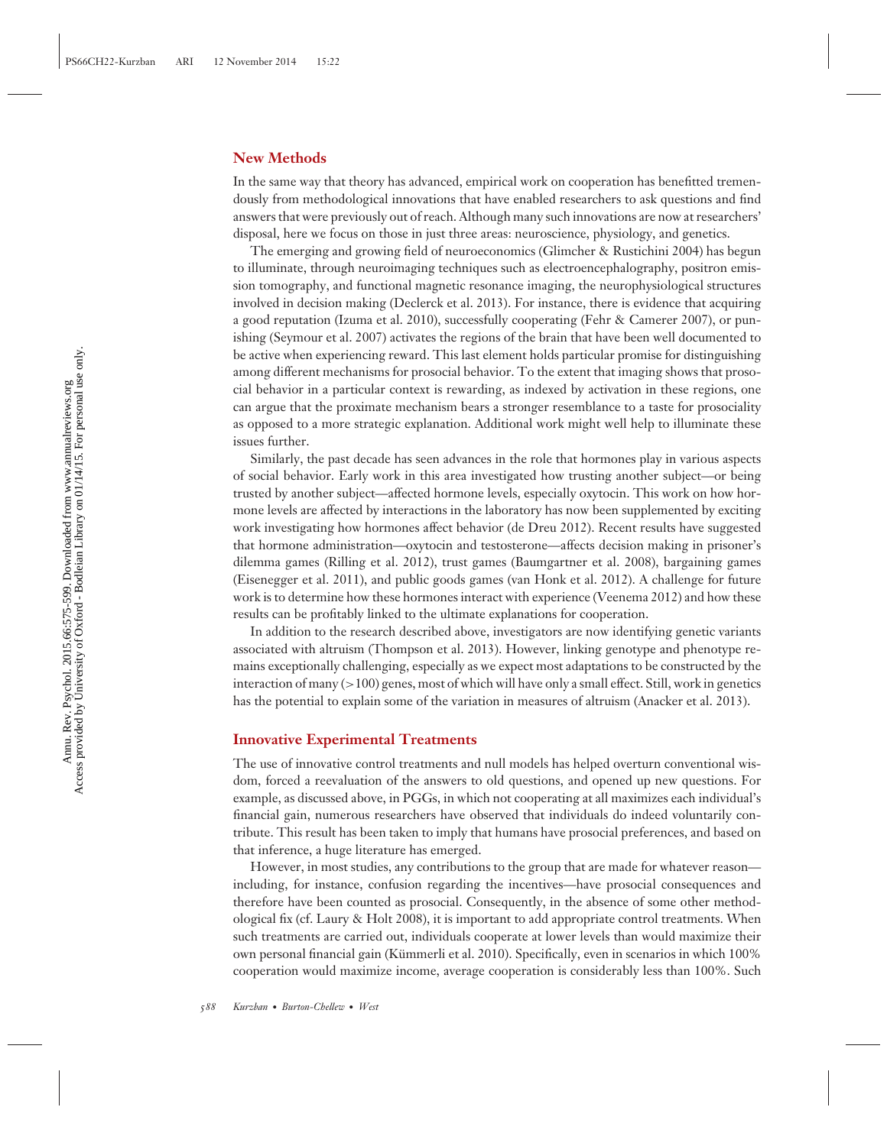### **New Methods**

In the same way that theory has advanced, empirical work on cooperation has benefitted tremendously from methodological innovations that have enabled researchers to ask questions and find answers that were previously out of reach. Although many such innovations are now at researchers' disposal, here we focus on those in just three areas: neuroscience, physiology, and genetics.

The emerging and growing field of neuroeconomics (Glimcher & Rustichini 2004) has begun to illuminate, through neuroimaging techniques such as electroencephalography, positron emission tomography, and functional magnetic resonance imaging, the neurophysiological structures involved in decision making (Declerck et al. 2013). For instance, there is evidence that acquiring a good reputation (Izuma et al. 2010), successfully cooperating (Fehr & Camerer 2007), or punishing (Seymour et al. 2007) activates the regions of the brain that have been well documented to be active when experiencing reward. This last element holds particular promise for distinguishing among different mechanisms for prosocial behavior. To the extent that imaging shows that prosocial behavior in a particular context is rewarding, as indexed by activation in these regions, one can argue that the proximate mechanism bears a stronger resemblance to a taste for prosociality as opposed to a more strategic explanation. Additional work might well help to illuminate these issues further.

Similarly, the past decade has seen advances in the role that hormones play in various aspects of social behavior. Early work in this area investigated how trusting another subject—or being trusted by another subject—affected hormone levels, especially oxytocin. This work on how hormone levels are affected by interactions in the laboratory has now been supplemented by exciting work investigating how hormones affect behavior (de Dreu 2012). Recent results have suggested that hormone administration—oxytocin and testosterone—affects decision making in prisoner's dilemma games (Rilling et al. 2012), trust games (Baumgartner et al. 2008), bargaining games (Eisenegger et al. 2011), and public goods games (van Honk et al. 2012). A challenge for future work is to determine how these hormones interact with experience (Veenema 2012) and how these results can be profitably linked to the ultimate explanations for cooperation.

In addition to the research described above, investigators are now identifying genetic variants associated with altruism (Thompson et al. 2013). However, linking genotype and phenotype remains exceptionally challenging, especially as we expect most adaptations to be constructed by the interaction of many  $(>100)$  genes, most of which will have only a small effect. Still, work in genetics has the potential to explain some of the variation in measures of altruism (Anacker et al. 2013).

# **Innovative Experimental Treatments**

The use of innovative control treatments and null models has helped overturn conventional wisdom, forced a reevaluation of the answers to old questions, and opened up new questions. For example, as discussed above, in PGGs, in which not cooperating at all maximizes each individual's financial gain, numerous researchers have observed that individuals do indeed voluntarily contribute. This result has been taken to imply that humans have prosocial preferences, and based on that inference, a huge literature has emerged.

However, in most studies, any contributions to the group that are made for whatever reason including, for instance, confusion regarding the incentives—have prosocial consequences and therefore have been counted as prosocial. Consequently, in the absence of some other methodological fix (cf. Laury & Holt 2008), it is important to add appropriate control treatments. When such treatments are carried out, individuals cooperate at lower levels than would maximize their own personal financial gain (Kummerli et al. 2010). Specifically, even in scenarios in which 100% ¨ cooperation would maximize income, average cooperation is considerably less than 100%. Such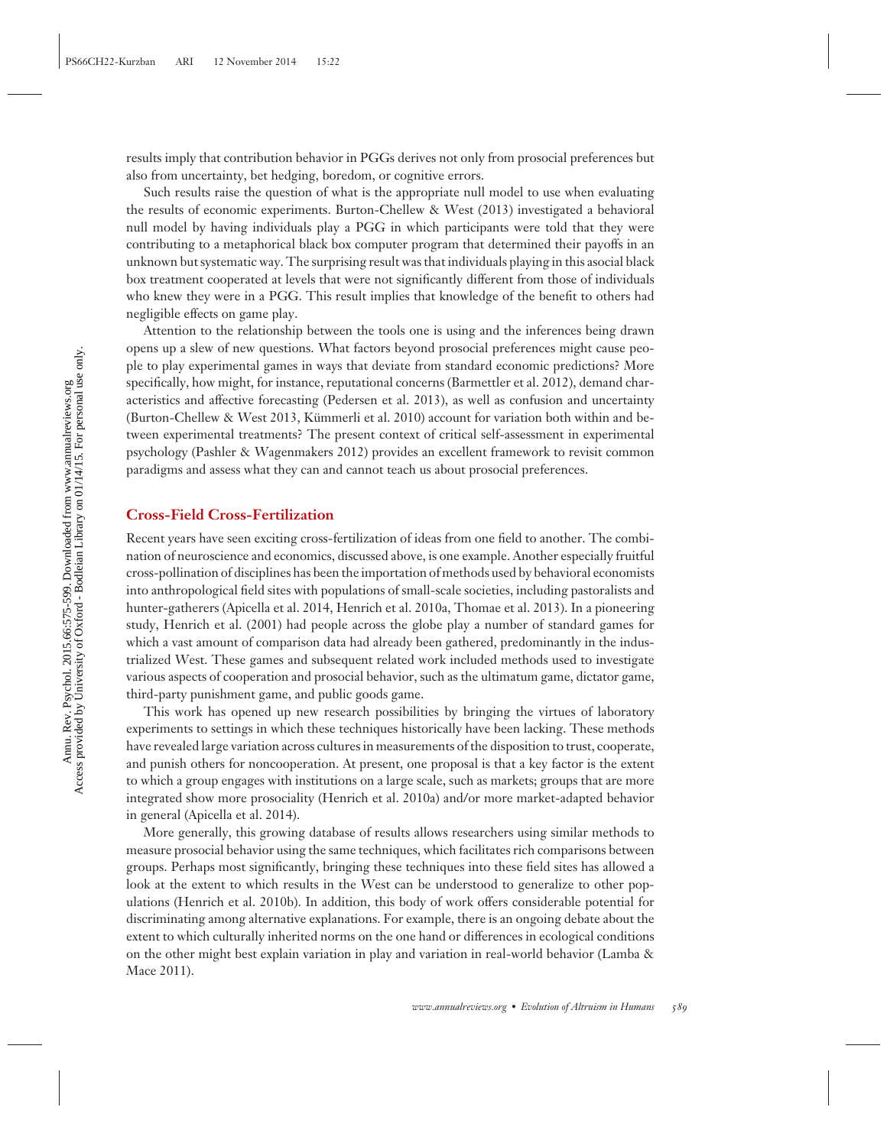results imply that contribution behavior in PGGs derives not only from prosocial preferences but also from uncertainty, bet hedging, boredom, or cognitive errors.

Such results raise the question of what is the appropriate null model to use when evaluating the results of economic experiments. Burton-Chellew & West (2013) investigated a behavioral null model by having individuals play a PGG in which participants were told that they were contributing to a metaphorical black box computer program that determined their payoffs in an unknown but systematic way. The surprising result was that individuals playing in this asocial black box treatment cooperated at levels that were not significantly different from those of individuals who knew they were in a PGG. This result implies that knowledge of the benefit to others had negligible effects on game play.

Attention to the relationship between the tools one is using and the inferences being drawn opens up a slew of new questions. What factors beyond prosocial preferences might cause people to play experimental games in ways that deviate from standard economic predictions? More specifically, how might, for instance, reputational concerns (Barmettler et al. 2012), demand characteristics and affective forecasting (Pedersen et al. 2013), as well as confusion and uncertainty (Burton-Chellew & West 2013, Kümmerli et al. 2010) account for variation both within and between experimental treatments? The present context of critical self-assessment in experimental psychology (Pashler & Wagenmakers 2012) provides an excellent framework to revisit common paradigms and assess what they can and cannot teach us about prosocial preferences.

# **Cross-Field Cross-Fertilization**

Recent years have seen exciting cross-fertilization of ideas from one field to another. The combination of neuroscience and economics, discussed above, is one example. Another especially fruitful cross-pollination of disciplines has been the importation of methods used by behavioral economists into anthropological field sites with populations of small-scale societies, including pastoralists and hunter-gatherers (Apicella et al. 2014, Henrich et al. 2010a, Thomae et al. 2013). In a pioneering study, Henrich et al. (2001) had people across the globe play a number of standard games for which a vast amount of comparison data had already been gathered, predominantly in the industrialized West. These games and subsequent related work included methods used to investigate various aspects of cooperation and prosocial behavior, such as the ultimatum game, dictator game, third-party punishment game, and public goods game.

This work has opened up new research possibilities by bringing the virtues of laboratory experiments to settings in which these techniques historically have been lacking. These methods have revealed large variation across cultures in measurements of the disposition to trust, cooperate, and punish others for noncooperation. At present, one proposal is that a key factor is the extent to which a group engages with institutions on a large scale, such as markets; groups that are more integrated show more prosociality (Henrich et al. 2010a) and/or more market-adapted behavior in general (Apicella et al. 2014).

More generally, this growing database of results allows researchers using similar methods to measure prosocial behavior using the same techniques, which facilitates rich comparisons between groups. Perhaps most significantly, bringing these techniques into these field sites has allowed a look at the extent to which results in the West can be understood to generalize to other populations (Henrich et al. 2010b). In addition, this body of work offers considerable potential for discriminating among alternative explanations. For example, there is an ongoing debate about the extent to which culturally inherited norms on the one hand or differences in ecological conditions on the other might best explain variation in play and variation in real-world behavior (Lamba & Mace 2011).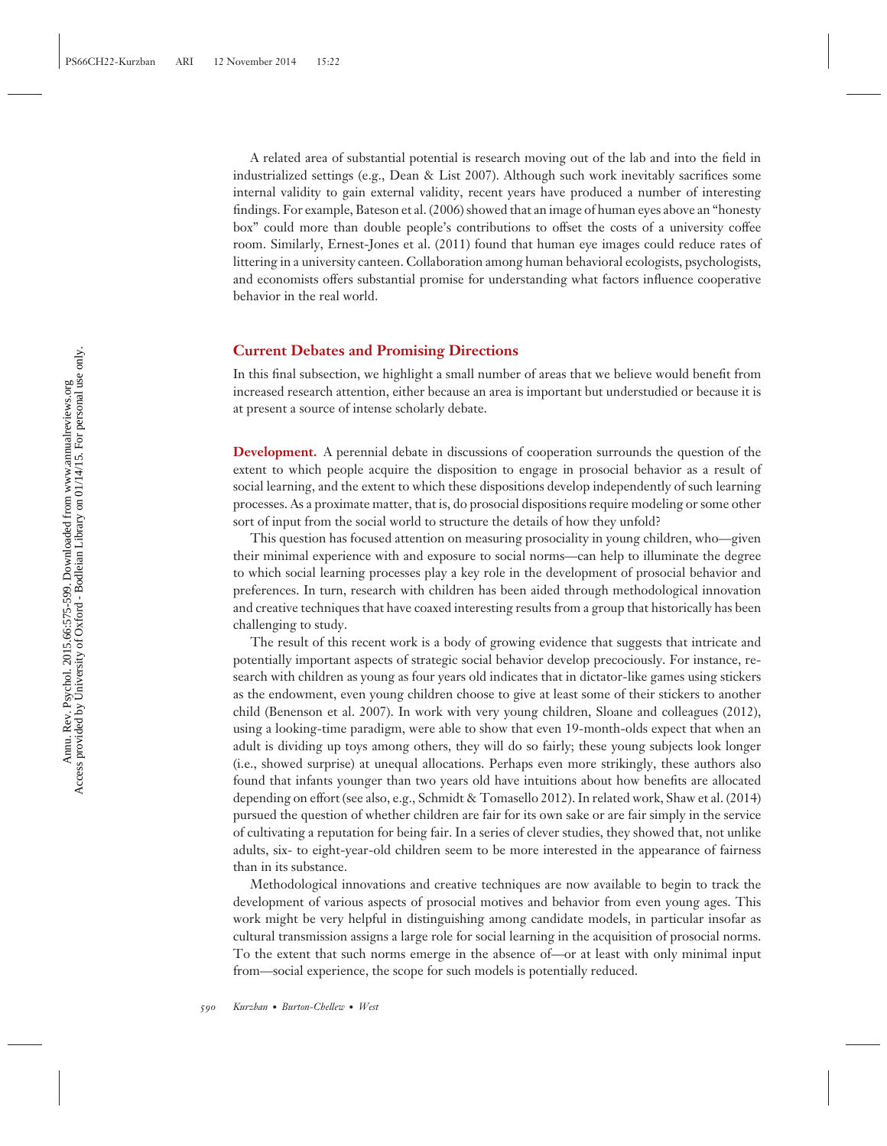A related area of substantial potential is research moving out of the lab and into the field in industrialized settings (e.g., Dean & List 2007). Although such work inevitably sacrifices some internal validity to gain external validity, recent years have produced a number of interesting findings. For example, Bateson et al. (2006) showed that an image of human eyes above an "honesty box" could more than double people's contributions to offset the costs of a university coffee room. Similarly, Ernest-Jones et al. (2011) found that human eye images could reduce rates of littering in a university canteen. Collaboration among human behavioral ecologists, psychologists, and economists offers substantial promise for understanding what factors influence cooperative behavior in the real world.

#### **Current Debates and Promising Directions**

In this final subsection, we highlight a small number of areas that we believe would benefit from increased research attention, either because an area is important but understudied or because it is at present a source of intense scholarly debate.

**Development.** A perennial debate in discussions of cooperation surrounds the question of the extent to which people acquire the disposition to engage in prosocial behavior as a result of social learning, and the extent to which these dispositions develop independently of such learning processes. As a proximate matter, that is, do prosocial dispositions require modeling or some other sort of input from the social world to structure the details of how they unfold?

This question has focused attention on measuring prosociality in young children, who—given their minimal experience with and exposure to social norms—can help to illuminate the degree to which social learning processes play a key role in the development of prosocial behavior and preferences. In turn, research with children has been aided through methodological innovation and creative techniques that have coaxed interesting results from a group that historically has been challenging to study.

The result of this recent work is a body of growing evidence that suggests that intricate and potentially important aspects of strategic social behavior develop precociously. For instance, research with children as young as four years old indicates that in dictator-like games using stickers as the endowment, even young children choose to give at least some of their stickers to another child (Benenson et al. 2007). In work with very young children, Sloane and colleagues (2012), using a looking-time paradigm, were able to show that even 19-month-olds expect that when an adult is dividing up toys among others, they will do so fairly; these young subjects look longer (i.e., showed surprise) at unequal allocations. Perhaps even more strikingly, these authors also found that infants younger than two years old have intuitions about how benefits are allocated depending on effort (see also, e.g., Schmidt & Tomasello 2012). In related work, Shaw et al. (2014) pursued the question of whether children are fair for its own sake or are fair simply in the service of cultivating a reputation for being fair. In a series of clever studies, they showed that, not unlike adults, six- to eight-year-old children seem to be more interested in the appearance of fairness than in its substance.

Methodological innovations and creative techniques are now available to begin to track the development of various aspects of prosocial motives and behavior from even young ages. This work might be very helpful in distinguishing among candidate models, in particular insofar as cultural transmission assigns a large role for social learning in the acquisition of prosocial norms. To the extent that such norms emerge in the absence of—or at least with only minimal input from—social experience, the scope for such models is potentially reduced.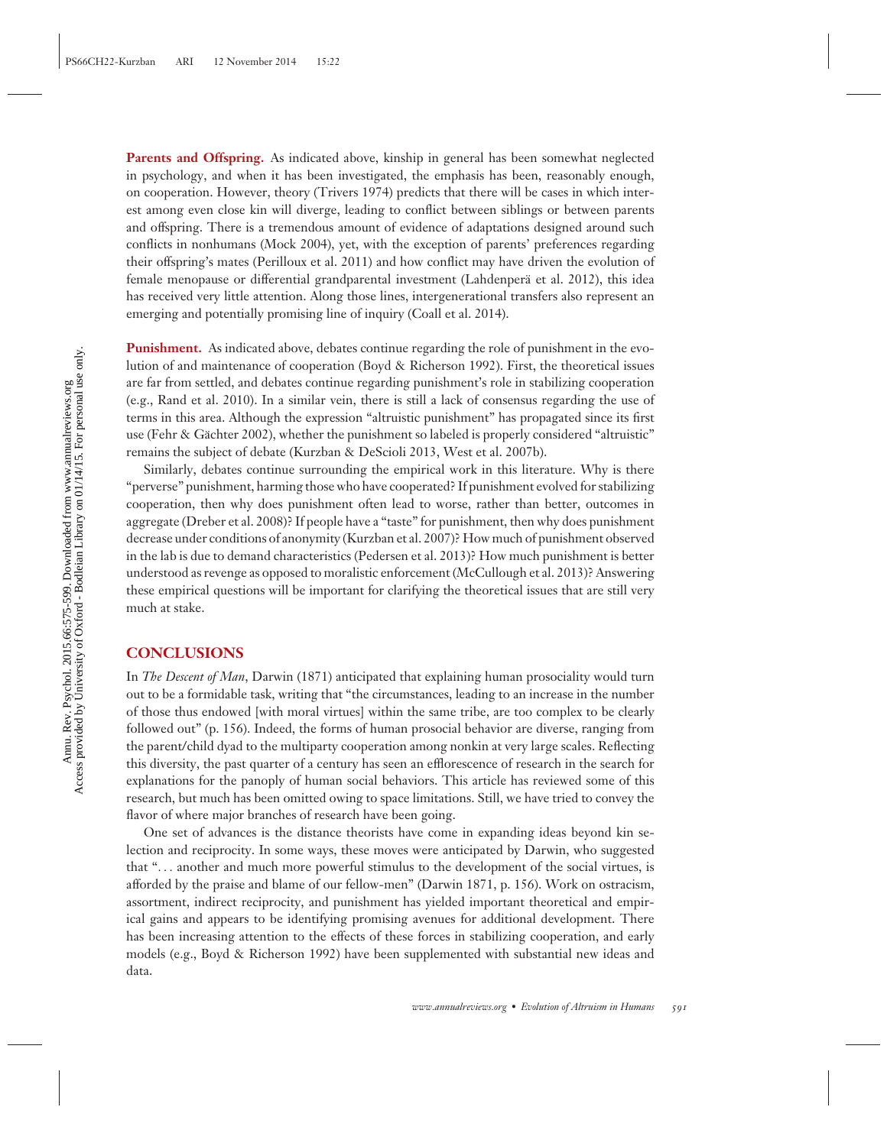Parents and Offspring. As indicated above, kinship in general has been somewhat neglected in psychology, and when it has been investigated, the emphasis has been, reasonably enough, on cooperation. However, theory (Trivers 1974) predicts that there will be cases in which interest among even close kin will diverge, leading to conflict between siblings or between parents and offspring. There is a tremendous amount of evidence of adaptations designed around such conflicts in nonhumans (Mock 2004), yet, with the exception of parents' preferences regarding their offspring's mates (Perilloux et al. 2011) and how conflict may have driven the evolution of female menopause or differential grandparental investment (Lahdenpera et al. 2012), this idea has received very little attention. Along those lines, intergenerational transfers also represent an emerging and potentially promising line of inquiry (Coall et al. 2014).

**Punishment.** As indicated above, debates continue regarding the role of punishment in the evolution of and maintenance of cooperation (Boyd & Richerson 1992). First, the theoretical issues are far from settled, and debates continue regarding punishment's role in stabilizing cooperation (e.g., Rand et al. 2010). In a similar vein, there is still a lack of consensus regarding the use of terms in this area. Although the expression "altruistic punishment" has propagated since its first use (Fehr & Gachter 2002), whether the punishment so labeled is properly considered "altruistic" ¨ remains the subject of debate (Kurzban & DeScioli 2013, West et al. 2007b).

Similarly, debates continue surrounding the empirical work in this literature. Why is there "perverse" punishment, harming those who have cooperated? If punishment evolved for stabilizing cooperation, then why does punishment often lead to worse, rather than better, outcomes in aggregate (Dreber et al. 2008)? If people have a "taste" for punishment, then why does punishment decrease under conditions of anonymity (Kurzban et al. 2007)? How much of punishment observed in the lab is due to demand characteristics (Pedersen et al. 2013)? How much punishment is better understood as revenge as opposed to moralistic enforcement (McCullough et al. 2013)? Answering these empirical questions will be important for clarifying the theoretical issues that are still very much at stake.

# **CONCLUSIONS**

In *The Descent of Man*, Darwin (1871) anticipated that explaining human prosociality would turn out to be a formidable task, writing that "the circumstances, leading to an increase in the number of those thus endowed [with moral virtues] within the same tribe, are too complex to be clearly followed out" (p. 156). Indeed, the forms of human prosocial behavior are diverse, ranging from the parent/child dyad to the multiparty cooperation among nonkin at very large scales. Reflecting this diversity, the past quarter of a century has seen an efflorescence of research in the search for explanations for the panoply of human social behaviors. This article has reviewed some of this research, but much has been omitted owing to space limitations. Still, we have tried to convey the flavor of where major branches of research have been going.

One set of advances is the distance theorists have come in expanding ideas beyond kin selection and reciprocity. In some ways, these moves were anticipated by Darwin, who suggested that "... another and much more powerful stimulus to the development of the social virtues, is afforded by the praise and blame of our fellow-men" (Darwin 1871, p. 156). Work on ostracism, assortment, indirect reciprocity, and punishment has yielded important theoretical and empirical gains and appears to be identifying promising avenues for additional development. There has been increasing attention to the effects of these forces in stabilizing cooperation, and early models (e.g., Boyd & Richerson 1992) have been supplemented with substantial new ideas and data.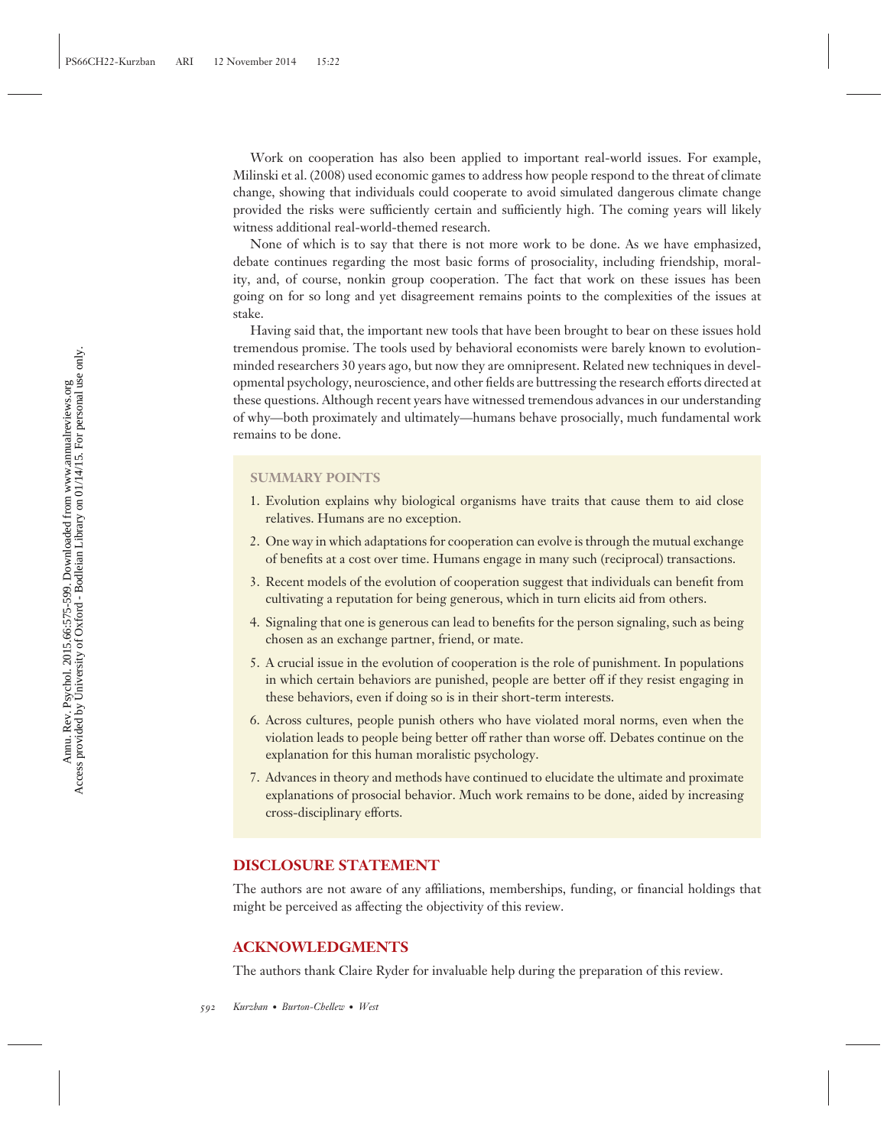Work on cooperation has also been applied to important real-world issues. For example, Milinski et al. (2008) used economic games to address how people respond to the threat of climate change, showing that individuals could cooperate to avoid simulated dangerous climate change provided the risks were sufficiently certain and sufficiently high. The coming years will likely witness additional real-world-themed research.

None of which is to say that there is not more work to be done. As we have emphasized, debate continues regarding the most basic forms of prosociality, including friendship, morality, and, of course, nonkin group cooperation. The fact that work on these issues has been going on for so long and yet disagreement remains points to the complexities of the issues at stake.

Having said that, the important new tools that have been brought to bear on these issues hold tremendous promise. The tools used by behavioral economists were barely known to evolutionminded researchers 30 years ago, but now they are omnipresent. Related new techniques in developmental psychology, neuroscience, and other fields are buttressing the research efforts directed at these questions. Although recent years have witnessed tremendous advances in our understanding of why—both proximately and ultimately—humans behave prosocially, much fundamental work remains to be done.

#### **SUMMARY POINTS**

- 1. Evolution explains why biological organisms have traits that cause them to aid close relatives. Humans are no exception.
- 2. One way in which adaptations for cooperation can evolve is through the mutual exchange of benefits at a cost over time. Humans engage in many such (reciprocal) transactions.
- 3. Recent models of the evolution of cooperation suggest that individuals can benefit from cultivating a reputation for being generous, which in turn elicits aid from others.
- 4. Signaling that one is generous can lead to benefits for the person signaling, such as being chosen as an exchange partner, friend, or mate.
- 5. A crucial issue in the evolution of cooperation is the role of punishment. In populations in which certain behaviors are punished, people are better off if they resist engaging in these behaviors, even if doing so is in their short-term interests.
- 6. Across cultures, people punish others who have violated moral norms, even when the violation leads to people being better off rather than worse off. Debates continue on the explanation for this human moralistic psychology.
- 7. Advances in theory and methods have continued to elucidate the ultimate and proximate explanations of prosocial behavior. Much work remains to be done, aided by increasing cross-disciplinary efforts.

# **DISCLOSURE STATEMENT**

The authors are not aware of any affiliations, memberships, funding, or financial holdings that might be perceived as affecting the objectivity of this review.

# **ACKNOWLEDGMENTS**

The authors thank Claire Ryder for invaluable help during the preparation of this review.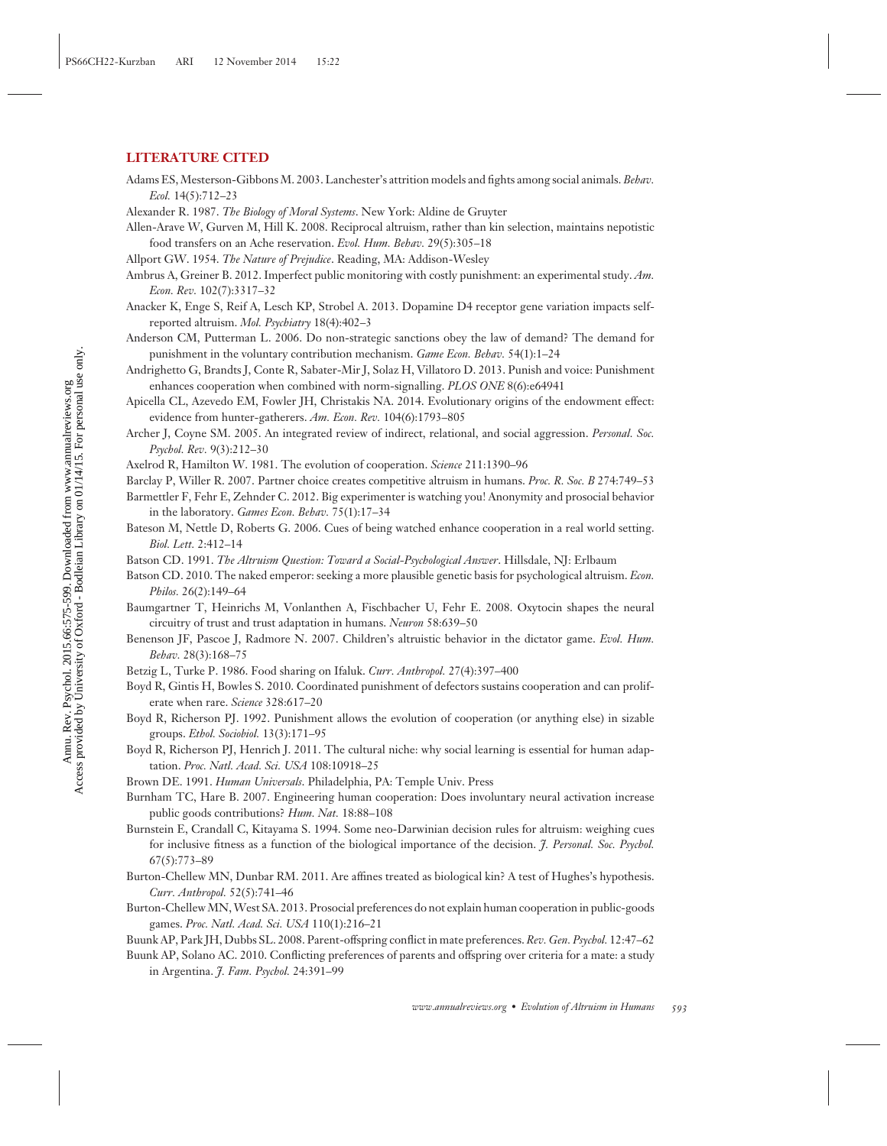#### **LITERATURE CITED**

- Adams ES, Mesterson-Gibbons M. 2003. Lanchester's attrition models and fights among social animals. *Behav. Ecol.* 14(5):712–23
- Alexander R. 1987. *The Biology of Moral Systems*. New York: Aldine de Gruyter
- Allen-Arave W, Gurven M, Hill K. 2008. Reciprocal altruism, rather than kin selection, maintains nepotistic food transfers on an Ache reservation. *Evol. Hum. Behav.* 29(5):305–18
- Allport GW. 1954. *The Nature of Prejudice*. Reading, MA: Addison-Wesley
- Ambrus A, Greiner B. 2012. Imperfect public monitoring with costly punishment: an experimental study. *Am. Econ. Rev.* 102(7):3317–32
- Anacker K, Enge S, Reif A, Lesch KP, Strobel A. 2013. Dopamine D4 receptor gene variation impacts selfreported altruism. *Mol. Psychiatry* 18(4):402–3
- Anderson CM, Putterman L. 2006. Do non-strategic sanctions obey the law of demand? The demand for punishment in the voluntary contribution mechanism. *Game Econ. Behav.* 54(1):1–24
- Andrighetto G, Brandts J, Conte R, Sabater-Mir J, Solaz H, Villatoro D. 2013. Punish and voice: Punishment enhances cooperation when combined with norm-signalling. *PLOS ONE* 8(6):e64941
- Apicella CL, Azevedo EM, Fowler JH, Christakis NA. 2014. Evolutionary origins of the endowment effect: evidence from hunter-gatherers. *Am. Econ. Rev.* 104(6):1793–805
- Archer J, Coyne SM. 2005. An integrated review of indirect, relational, and social aggression. *Personal. Soc. Psychol. Rev.* 9(3):212–30
- Axelrod R, Hamilton W. 1981. The evolution of cooperation. *Science* 211:1390–96
- Barclay P, Willer R. 2007. Partner choice creates competitive altruism in humans. *Proc. R. Soc. B* 274:749–53
- Barmettler F, Fehr E, Zehnder C. 2012. Big experimenter is watching you! Anonymity and prosocial behavior in the laboratory. *Games Econ. Behav.* 75(1):17–34
- Bateson M, Nettle D, Roberts G. 2006. Cues of being watched enhance cooperation in a real world setting. *Biol. Lett.* 2:412–14
- Batson CD. 1991. *The Altruism Question: Toward a Social-Psychological Answer*. Hillsdale, NJ: Erlbaum
- Batson CD. 2010. The naked emperor: seeking a more plausible genetic basis for psychological altruism. *Econ. Philos.* 26(2):149–64
- Baumgartner T, Heinrichs M, Vonlanthen A, Fischbacher U, Fehr E. 2008. Oxytocin shapes the neural circuitry of trust and trust adaptation in humans. *Neuron* 58:639–50
- Benenson JF, Pascoe J, Radmore N. 2007. Children's altruistic behavior in the dictator game. *Evol. Hum. Behav.* 28(3):168–75
- Betzig L, Turke P. 1986. Food sharing on Ifaluk. *Curr. Anthropol.* 27(4):397–400
- Boyd R, Gintis H, Bowles S. 2010. Coordinated punishment of defectors sustains cooperation and can proliferate when rare. *Science* 328:617–20
- Boyd R, Richerson PJ. 1992. Punishment allows the evolution of cooperation (or anything else) in sizable groups. *Ethol. Sociobiol.* 13(3):171–95
- Boyd R, Richerson PJ, Henrich J. 2011. The cultural niche: why social learning is essential for human adaptation. *Proc. Natl. Acad. Sci. USA* 108:10918–25
- Brown DE. 1991. *Human Universals*. Philadelphia, PA: Temple Univ. Press
- Burnham TC, Hare B. 2007. Engineering human cooperation: Does involuntary neural activation increase public goods contributions? *Hum. Nat.* 18:88–108
- Burnstein E, Crandall C, Kitayama S. 1994. Some neo-Darwinian decision rules for altruism: weighing cues for inclusive fitness as a function of the biological importance of the decision. *J. Personal. Soc. Psychol.* 67(5):773–89
- Burton-Chellew MN, Dunbar RM. 2011. Are affines treated as biological kin? A test of Hughes's hypothesis. *Curr. Anthropol.* 52(5):741–46
- Burton-Chellew MN, West SA. 2013. Prosocial preferences do not explain human cooperation in public-goods games. *Proc. Natl. Acad. Sci. USA* 110(1):216–21
- Buunk AP, Park JH, Dubbs SL. 2008. Parent-offspring conflict in mate preferences. *Rev. Gen. Psychol.* 12:47–62
- Buunk AP, Solano AC. 2010. Conflicting preferences of parents and offspring over criteria for a mate: a study in Argentina. *J. Fam. Psychol.* 24:391–99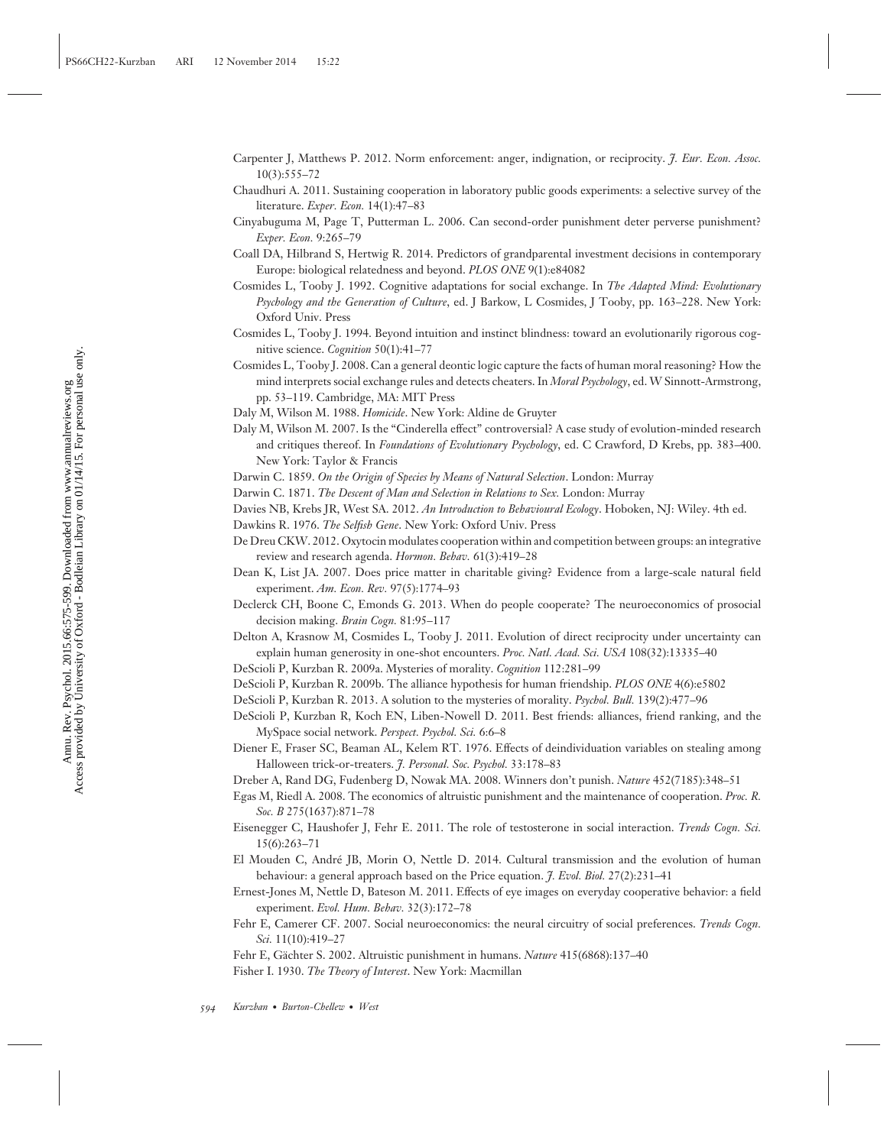- Carpenter J, Matthews P. 2012. Norm enforcement: anger, indignation, or reciprocity. *J. Eur. Econ. Assoc.* 10(3):555–72
- Chaudhuri A. 2011. Sustaining cooperation in laboratory public goods experiments: a selective survey of the literature. *Exper. Econ.* 14(1):47–83
- Cinyabuguma M, Page T, Putterman L. 2006. Can second-order punishment deter perverse punishment? *Exper. Econ.* 9:265–79
- Coall DA, Hilbrand S, Hertwig R. 2014. Predictors of grandparental investment decisions in contemporary Europe: biological relatedness and beyond. *PLOS ONE* 9(1):e84082
- Cosmides L, Tooby J. 1992. Cognitive adaptations for social exchange. In *The Adapted Mind: Evolutionary Psychology and the Generation of Culture*, ed. J Barkow, L Cosmides, J Tooby, pp. 163–228. New York: Oxford Univ. Press
- Cosmides L, Tooby J. 1994. Beyond intuition and instinct blindness: toward an evolutionarily rigorous cognitive science. *Cognition* 50(1):41–77
- Cosmides L, Tooby J. 2008. Can a general deontic logic capture the facts of human moral reasoning? How the mind interprets social exchange rules and detects cheaters. In *Moral Psychology*, ed. W Sinnott-Armstrong, pp. 53–119. Cambridge, MA: MIT Press
- Daly M, Wilson M. 1988. *Homicide*. New York: Aldine de Gruyter
- Daly M, Wilson M. 2007. Is the "Cinderella effect" controversial? A case study of evolution-minded research and critiques thereof. In *Foundations of Evolutionary Psychology*, ed. C Crawford, D Krebs, pp. 383–400. New York: Taylor & Francis
- Darwin C. 1859. *On the Origin of Species by Means of Natural Selection*. London: Murray
- Darwin C. 1871. *The Descent of Man and Selection in Relations to Sex.* London: Murray
- Davies NB, Krebs JR, West SA. 2012. *An Introduction to Behavioural Ecology*. Hoboken, NJ: Wiley. 4th ed.
- Dawkins R. 1976. *The Selfish Gene*. New York: Oxford Univ. Press
- De Dreu CKW. 2012. Oxytocin modulates cooperation within and competition between groups: an integrative review and research agenda. *Hormon. Behav.* 61(3):419–28
- Dean K, List JA. 2007. Does price matter in charitable giving? Evidence from a large-scale natural field experiment. *Am. Econ. Rev.* 97(5):1774–93
- Declerck CH, Boone C, Emonds G. 2013. When do people cooperate? The neuroeconomics of prosocial decision making. *Brain Cogn.* 81:95–117
- Delton A, Krasnow M, Cosmides L, Tooby J. 2011. Evolution of direct reciprocity under uncertainty can explain human generosity in one-shot encounters. *Proc. Natl. Acad. Sci. USA* 108(32):13335–40
- DeScioli P, Kurzban R. 2009a. Mysteries of morality. *Cognition* 112:281–99
- DeScioli P, Kurzban R. 2009b. The alliance hypothesis for human friendship. *PLOS ONE* 4(6):e5802
- DeScioli P, Kurzban R. 2013. A solution to the mysteries of morality. *Psychol. Bull.* 139(2):477–96
- DeScioli P, Kurzban R, Koch EN, Liben-Nowell D. 2011. Best friends: alliances, friend ranking, and the MySpace social network. *Perspect. Psychol. Sci.* 6:6–8
- Diener E, Fraser SC, Beaman AL, Kelem RT. 1976. Effects of deindividuation variables on stealing among Halloween trick-or-treaters. *J. Personal. Soc. Psychol.* 33:178–83
- Dreber A, Rand DG, Fudenberg D, Nowak MA. 2008. Winners don't punish. *Nature* 452(7185):348–51
- Egas M, Riedl A. 2008. The economics of altruistic punishment and the maintenance of cooperation. *Proc. R. Soc. B* 275(1637):871–78
- Eisenegger C, Haushofer J, Fehr E. 2011. The role of testosterone in social interaction. *Trends Cogn. Sci.* 15(6):263–71
- El Mouden C, André JB, Morin O, Nettle D. 2014. Cultural transmission and the evolution of human behaviour: a general approach based on the Price equation. *J. Evol. Biol.* 27(2):231–41
- Ernest-Jones M, Nettle D, Bateson M. 2011. Effects of eye images on everyday cooperative behavior: a field experiment. *Evol. Hum. Behav.* 32(3):172–78
- Fehr E, Camerer CF. 2007. Social neuroeconomics: the neural circuitry of social preferences. *Trends Cogn. Sci.* 11(10):419–27

Fehr E, Gächter S. 2002. Altruistic punishment in humans. *Nature* 415(6868):137–40

Fisher I. 1930. *The Theory of Interest*. New York: Macmillan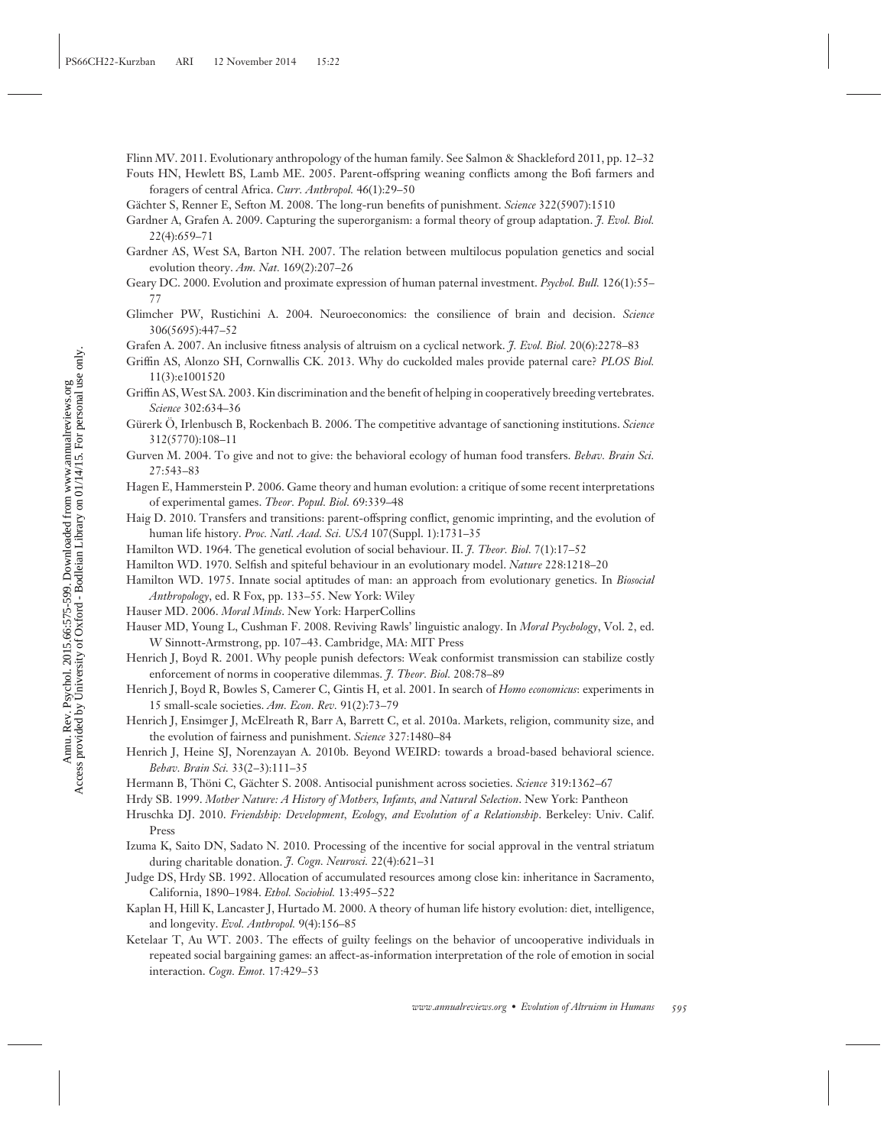Flinn MV. 2011. Evolutionary anthropology of the human family. See Salmon & Shackleford 2011, pp. 12–32 Fouts HN, Hewlett BS, Lamb ME. 2005. Parent-offspring weaning conflicts among the Bofi farmers and

foragers of central Africa. *Curr. Anthropol.* 46(1):29–50

- Gächter S, Renner E, Sefton M. 2008. The long-run benefits of punishment. Science 322(5907):1510
- Gardner A, Grafen A. 2009. Capturing the superorganism: a formal theory of group adaptation. *J. Evol. Biol.* 22(4):659–71
- Gardner AS, West SA, Barton NH. 2007. The relation between multilocus population genetics and social evolution theory. *Am. Nat.* 169(2):207–26
- Geary DC. 2000. Evolution and proximate expression of human paternal investment. *Psychol. Bull.* 126(1):55– 77
- Glimcher PW, Rustichini A. 2004. Neuroeconomics: the consilience of brain and decision. *Science* 306(5695):447–52
- Grafen A. 2007. An inclusive fitness analysis of altruism on a cyclical network. *J. Evol. Biol.* 20(6):2278–83
- Griffin AS, Alonzo SH, Cornwallis CK. 2013. Why do cuckolded males provide paternal care? *PLOS Biol.* 11(3):e1001520
- Griffin AS,West SA. 2003. Kin discrimination and the benefit of helping in cooperatively breeding vertebrates. *Science* 302:634–36
- Gürerk O, Irlenbusch B, Rockenbach B. 2006. The competitive advantage of sanctioning institutions. Science 312(5770):108–11
- Gurven M. 2004. To give and not to give: the behavioral ecology of human food transfers. *Behav. Brain Sci.* 27:543–83
- Hagen E, Hammerstein P. 2006. Game theory and human evolution: a critique of some recent interpretations of experimental games. *Theor. Popul. Biol.* 69:339–48
- Haig D. 2010. Transfers and transitions: parent-offspring conflict, genomic imprinting, and the evolution of human life history. *Proc. Natl. Acad. Sci. USA* 107(Suppl. 1):1731–35
- Hamilton WD. 1964. The genetical evolution of social behaviour. II. *J. Theor. Biol.* 7(1):17–52
- Hamilton WD. 1970. Selfish and spiteful behaviour in an evolutionary model. *Nature* 228:1218–20
- Hamilton WD. 1975. Innate social aptitudes of man: an approach from evolutionary genetics. In *Biosocial Anthropology*, ed. R Fox, pp. 133–55. New York: Wiley
- Hauser MD. 2006. *Moral Minds*. New York: HarperCollins
- Hauser MD, Young L, Cushman F. 2008. Reviving Rawls' linguistic analogy. In *Moral Psychology*, Vol. 2, ed. W Sinnott-Armstrong, pp. 107–43. Cambridge, MA: MIT Press
- Henrich J, Boyd R. 2001. Why people punish defectors: Weak conformist transmission can stabilize costly enforcement of norms in cooperative dilemmas. *J. Theor. Biol.* 208:78–89
- Henrich J, Boyd R, Bowles S, Camerer C, Gintis H, et al. 2001. In search of *Homo economicus*: experiments in 15 small-scale societies. *Am. Econ. Rev.* 91(2):73–79
- Henrich J, Ensimger J, McElreath R, Barr A, Barrett C, et al. 2010a. Markets, religion, community size, and the evolution of fairness and punishment. *Science* 327:1480–84
- Henrich J, Heine SJ, Norenzayan A. 2010b. Beyond WEIRD: towards a broad-based behavioral science. *Behav. Brain Sci.* 33(2–3):111–35
- Hermann B, Thöni C, Gächter S. 2008. Antisocial punishment across societies. Science 319:1362-67
- Hrdy SB. 1999. *Mother Nature: A History of Mothers, Infants, and Natural Selection*. New York: Pantheon
- Hruschka DJ. 2010. *Friendship: Development, Ecology, and Evolution of a Relationship*. Berkeley: Univ. Calif. Press
- Izuma K, Saito DN, Sadato N. 2010. Processing of the incentive for social approval in the ventral striatum during charitable donation. *J. Cogn. Neurosci.* 22(4):621–31
- Judge DS, Hrdy SB. 1992. Allocation of accumulated resources among close kin: inheritance in Sacramento, California, 1890–1984. *Ethol. Sociobiol.* 13:495–522
- Kaplan H, Hill K, Lancaster J, Hurtado M. 2000. A theory of human life history evolution: diet, intelligence, and longevity. *Evol. Anthropol.* 9(4):156–85
- Ketelaar T, Au WT. 2003. The effects of guilty feelings on the behavior of uncooperative individuals in repeated social bargaining games: an affect-as-information interpretation of the role of emotion in social interaction. *Cogn. Emot.* 17:429–53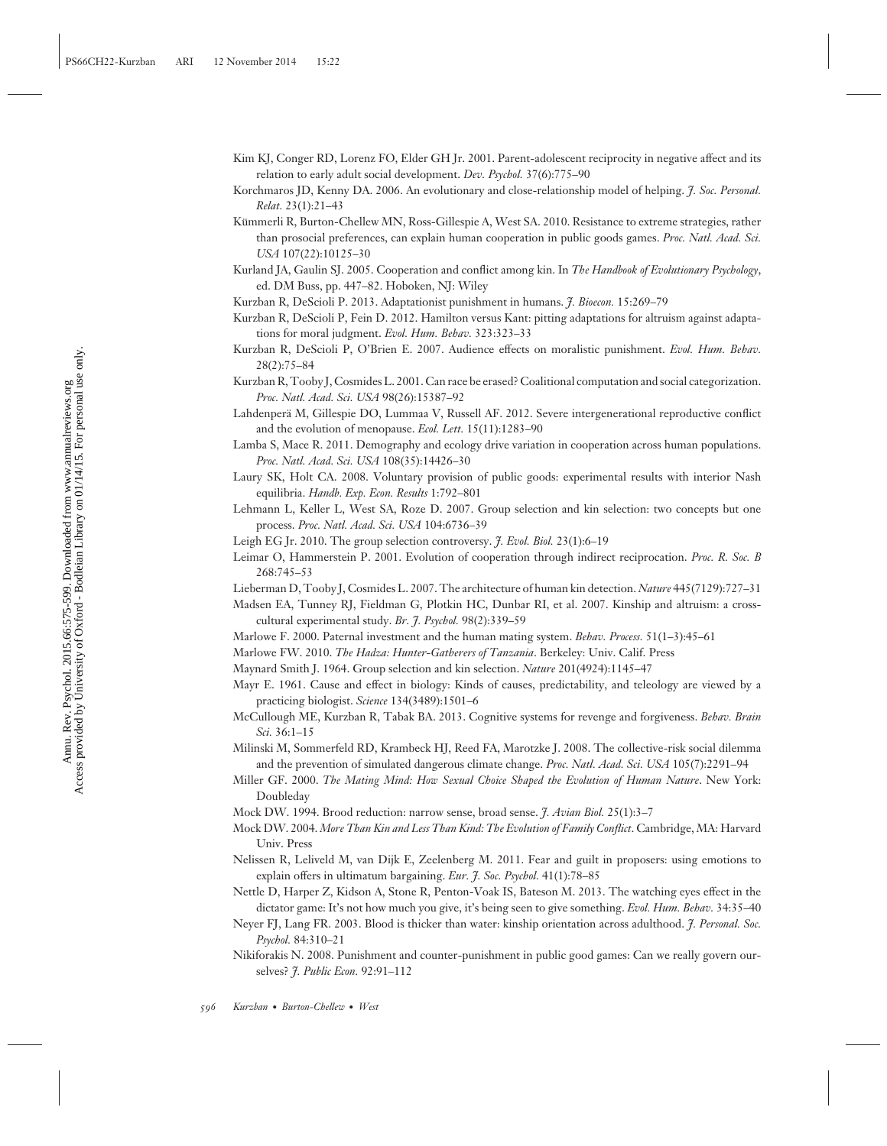- Kim KJ, Conger RD, Lorenz FO, Elder GH Jr. 2001. Parent-adolescent reciprocity in negative affect and its relation to early adult social development. *Dev. Psychol.* 37(6):775–90
- Korchmaros JD, Kenny DA. 2006. An evolutionary and close-relationship model of helping. *J. Soc. Personal. Relat.* 23(1):21–43
- Kümmerli R, Burton-Chellew MN, Ross-Gillespie A, West SA. 2010. Resistance to extreme strategies, rather than prosocial preferences, can explain human cooperation in public goods games. *Proc. Natl. Acad. Sci. USA* 107(22):10125–30
- Kurland JA, Gaulin SJ. 2005. Cooperation and conflict among kin. In *The Handbook of Evolutionary Psychology*, ed. DM Buss, pp. 447–82. Hoboken, NJ: Wiley
- Kurzban R, DeScioli P. 2013. Adaptationist punishment in humans. *J. Bioecon.* 15:269–79
- Kurzban R, DeScioli P, Fein D. 2012. Hamilton versus Kant: pitting adaptations for altruism against adaptations for moral judgment. *Evol. Hum. Behav.* 323:323–33
- Kurzban R, DeScioli P, O'Brien E. 2007. Audience effects on moralistic punishment. *Evol. Hum. Behav.* 28(2):75–84
- Kurzban R, Tooby J, Cosmides L. 2001. Can race be erased? Coalitional computation and social categorization. *Proc. Natl. Acad. Sci. USA* 98(26):15387–92
- Lahdenpera M, Gillespie DO, Lummaa V, Russell AF. 2012. Severe intergenerational reproductive conflict ¨ and the evolution of menopause. *Ecol. Lett.* 15(11):1283–90
- Lamba S, Mace R. 2011. Demography and ecology drive variation in cooperation across human populations. *Proc. Natl. Acad. Sci. USA* 108(35):14426–30
- Laury SK, Holt CA. 2008. Voluntary provision of public goods: experimental results with interior Nash equilibria. *Handb. Exp. Econ. Results* 1:792–801
- Lehmann L, Keller L, West SA, Roze D. 2007. Group selection and kin selection: two concepts but one process. *Proc. Natl. Acad. Sci. USA* 104:6736–39
- Leigh EG Jr. 2010. The group selection controversy. *J. Evol. Biol.* 23(1):6–19
- Leimar O, Hammerstein P. 2001. Evolution of cooperation through indirect reciprocation. *Proc. R. Soc. B* 268:745–53
- Lieberman D, Tooby J, Cosmides L. 2007. The architecture of human kin detection. *Nature* 445(7129):727–31
- Madsen EA, Tunney RJ, Fieldman G, Plotkin HC, Dunbar RI, et al. 2007. Kinship and altruism: a crosscultural experimental study. *Br. J. Psychol.* 98(2):339–59
- Marlowe F. 2000. Paternal investment and the human mating system. *Behav. Process.* 51(1–3):45–61
- Marlowe FW. 2010. *The Hadza: Hunter-Gatherers of Tanzania*. Berkeley: Univ. Calif. Press
- Maynard Smith J. 1964. Group selection and kin selection. *Nature* 201(4924):1145–47
- Mayr E. 1961. Cause and effect in biology: Kinds of causes, predictability, and teleology are viewed by a practicing biologist. *Science* 134(3489):1501–6
- McCullough ME, Kurzban R, Tabak BA. 2013. Cognitive systems for revenge and forgiveness. *Behav. Brain Sci.* 36:1–15
- Milinski M, Sommerfeld RD, Krambeck HJ, Reed FA, Marotzke J. 2008. The collective-risk social dilemma and the prevention of simulated dangerous climate change. *Proc. Natl. Acad. Sci. USA* 105(7):2291–94
- Miller GF. 2000. *The Mating Mind: How Sexual Choice Shaped the Evolution of Human Nature*. New York: Doubleday
- Mock DW. 1994. Brood reduction: narrow sense, broad sense. *J. Avian Biol.* 25(1):3–7
- Mock DW. 2004. *More Than Kin and Less Than Kind: The Evolution of Family Conflict*. Cambridge, MA: Harvard Univ. Press
- Nelissen R, Leliveld M, van Dijk E, Zeelenberg M. 2011. Fear and guilt in proposers: using emotions to explain offers in ultimatum bargaining. *Eur. J. Soc. Psychol.* 41(1):78–85
- Nettle D, Harper Z, Kidson A, Stone R, Penton-Voak IS, Bateson M. 2013. The watching eyes effect in the dictator game: It's not how much you give, it's being seen to give something. *Evol. Hum. Behav.* 34:35–40
- Neyer FJ, Lang FR. 2003. Blood is thicker than water: kinship orientation across adulthood. *J. Personal. Soc. Psychol.* 84:310–21
- Nikiforakis N. 2008. Punishment and counter-punishment in public good games: Can we really govern ourselves? *J. Public Econ.* 92:91–112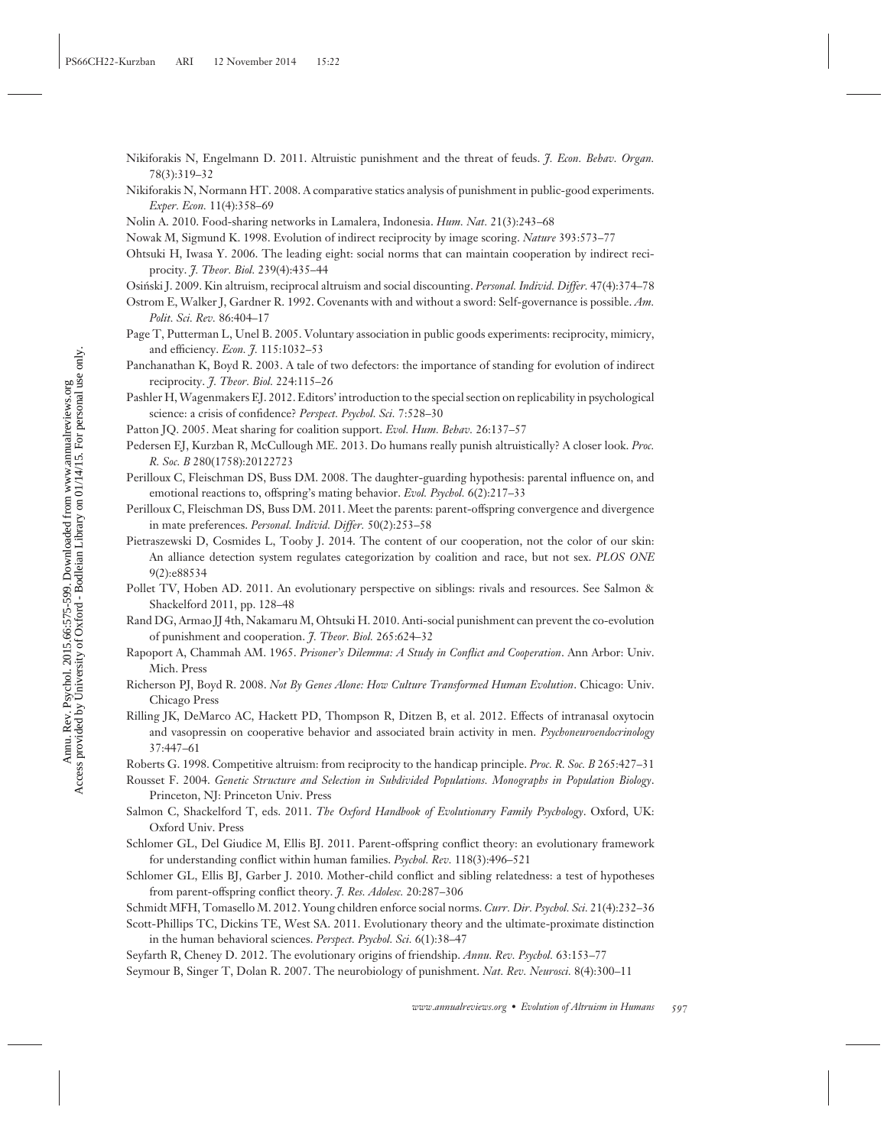Annu. Rev. Psychol. 2015.66:575-599. Downloaded from www.annualreviews.org<br>Access provided by University of Oxford - Bodleian Library on 01/14/15. For personal use only. Access provided by University of Oxford - Bodleian Library on 01/14/15. For personal use only.Annu. Rev. Psychol. 2015.66:575-599. Downloaded from www.annualreviews.org

- Nikiforakis N, Engelmann D. 2011. Altruistic punishment and the threat of feuds. *J. Econ. Behav. Organ.* 78(3):319–32
- Nikiforakis N, Normann HT. 2008. A comparative statics analysis of punishment in public-good experiments. *Exper. Econ.* 11(4):358–69

Nolin A. 2010. Food-sharing networks in Lamalera, Indonesia. *Hum. Nat.* 21(3):243–68

- Nowak M, Sigmund K. 1998. Evolution of indirect reciprocity by image scoring. *Nature* 393:573–77
- Ohtsuki H, Iwasa Y. 2006. The leading eight: social norms that can maintain cooperation by indirect reciprocity. *J. Theor. Biol.* 239(4):435–44
- Osinski J. 2009. Kin altruism, reciprocal altruism and social discounting. ´ *Personal. Individ. Differ.* 47(4):374–78
- Ostrom E, Walker J, Gardner R. 1992. Covenants with and without a sword: Self-governance is possible. *Am. Polit. Sci. Rev.* 86:404–17
- Page T, Putterman L, Unel B. 2005. Voluntary association in public goods experiments: reciprocity, mimicry, and efficiency. *Econ. J.* 115:1032–53
- Panchanathan K, Boyd R. 2003. A tale of two defectors: the importance of standing for evolution of indirect reciprocity. *J. Theor. Biol.* 224:115–26
- Pashler H,Wagenmakers EJ. 2012. Editors' introduction to the special section on replicability in psychological science: a crisis of confidence? *Perspect. Psychol. Sci.* 7:528–30
- Patton JQ. 2005. Meat sharing for coalition support. *Evol. Hum. Behav.* 26:137–57
- Pedersen EJ, Kurzban R, McCullough ME. 2013. Do humans really punish altruistically? A closer look. *Proc. R. Soc. B* 280(1758):20122723
- Perilloux C, Fleischman DS, Buss DM. 2008. The daughter-guarding hypothesis: parental influence on, and emotional reactions to, offspring's mating behavior. *Evol. Psychol.* 6(2):217–33
- Perilloux C, Fleischman DS, Buss DM. 2011. Meet the parents: parent-offspring convergence and divergence in mate preferences. *Personal. Individ. Differ.* 50(2):253–58
- Pietraszewski D, Cosmides L, Tooby J. 2014. The content of our cooperation, not the color of our skin: An alliance detection system regulates categorization by coalition and race, but not sex. *PLOS ONE* 9(2):e88534
- Pollet TV, Hoben AD. 2011. An evolutionary perspective on siblings: rivals and resources. See Salmon & Shackelford 2011, pp. 128–48
- Rand DG, Armao JJ 4th, Nakamaru M, Ohtsuki H. 2010. Anti-social punishment can prevent the co-evolution of punishment and cooperation. *J. Theor. Biol.* 265:624–32
- Rapoport A, Chammah AM. 1965. *Prisoner's Dilemma: A Study in Conflict and Cooperation*. Ann Arbor: Univ. Mich. Press
- Richerson PJ, Boyd R. 2008. *Not By Genes Alone: How Culture Transformed Human Evolution*. Chicago: Univ. Chicago Press
- Rilling JK, DeMarco AC, Hackett PD, Thompson R, Ditzen B, et al. 2012. Effects of intranasal oxytocin and vasopressin on cooperative behavior and associated brain activity in men. *Psychoneuroendocrinology* 37:447–61
- Roberts G. 1998. Competitive altruism: from reciprocity to the handicap principle. *Proc. R. Soc. B* 265:427–31
- Rousset F. 2004. *Genetic Structure and Selection in Subdivided Populations. Monographs in Population Biology*. Princeton, NJ: Princeton Univ. Press
- Salmon C, Shackelford T, eds. 2011. *The Oxford Handbook of Evolutionary Family Psychology*. Oxford, UK: Oxford Univ. Press
- Schlomer GL, Del Giudice M, Ellis BJ. 2011. Parent-offspring conflict theory: an evolutionary framework for understanding conflict within human families. *Psychol. Rev.* 118(3):496–521
- Schlomer GL, Ellis BJ, Garber J. 2010. Mother-child conflict and sibling relatedness: a test of hypotheses from parent-offspring conflict theory. *J. Res. Adolesc.* 20:287–306
- Schmidt MFH, Tomasello M. 2012. Young children enforce social norms. *Curr. Dir. Psychol. Sci.* 21(4):232–36
- Scott-Phillips TC, Dickins TE, West SA. 2011. Evolutionary theory and the ultimate-proximate distinction in the human behavioral sciences. *Perspect. Psychol. Sci.* 6(1):38–47
- Seyfarth R, Cheney D. 2012. The evolutionary origins of friendship. *Annu. Rev. Psychol.* 63:153–77
- Seymour B, Singer T, Dolan R. 2007. The neurobiology of punishment. *Nat. Rev. Neurosci.* 8(4):300–11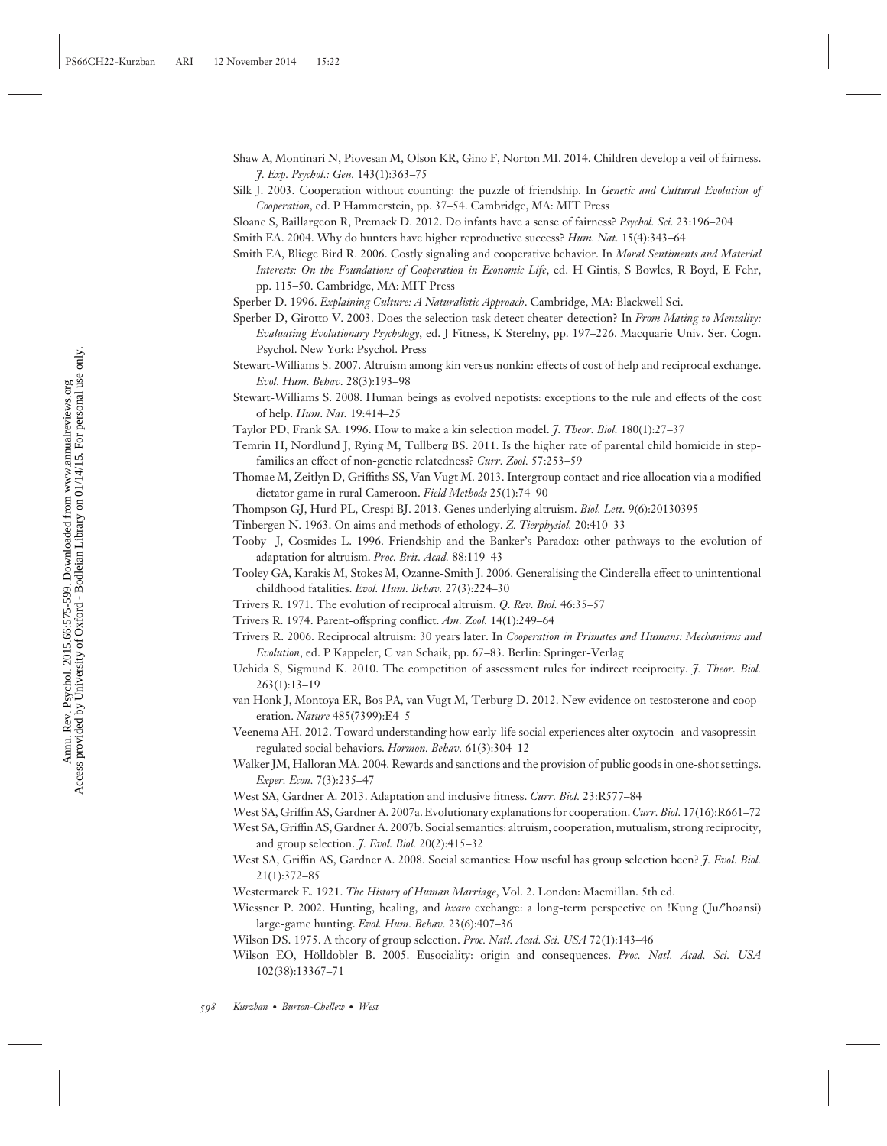- Shaw A, Montinari N, Piovesan M, Olson KR, Gino F, Norton MI. 2014. Children develop a veil of fairness. *J. Exp. Psychol.: Gen.* 143(1):363–75
- Silk J. 2003. Cooperation without counting: the puzzle of friendship. In *Genetic and Cultural Evolution of Cooperation*, ed. P Hammerstein, pp. 37–54. Cambridge, MA: MIT Press

Sloane S, Baillargeon R, Premack D. 2012. Do infants have a sense of fairness? *Psychol. Sci.* 23:196–204

- Smith EA. 2004. Why do hunters have higher reproductive success? *Hum. Nat.* 15(4):343–64
- Smith EA, Bliege Bird R. 2006. Costly signaling and cooperative behavior. In *Moral Sentiments and Material Interests: On the Foundations of Cooperation in Economic Life*, ed. H Gintis, S Bowles, R Boyd, E Fehr, pp. 115–50. Cambridge, MA: MIT Press
- Sperber D. 1996. *Explaining Culture: A Naturalistic Approach*. Cambridge, MA: Blackwell Sci.
- Sperber D, Girotto V. 2003. Does the selection task detect cheater-detection? In *From Mating to Mentality: Evaluating Evolutionary Psychology*, ed. J Fitness, K Sterelny, pp. 197–226. Macquarie Univ. Ser. Cogn. Psychol. New York: Psychol. Press
- Stewart-Williams S. 2007. Altruism among kin versus nonkin: effects of cost of help and reciprocal exchange. *Evol. Hum. Behav.* 28(3):193–98
- Stewart-Williams S. 2008. Human beings as evolved nepotists: exceptions to the rule and effects of the cost of help. *Hum. Nat.* 19:414–25
- Taylor PD, Frank SA. 1996. How to make a kin selection model. *J. Theor. Biol.* 180(1):27–37
- Temrin H, Nordlund J, Rying M, Tullberg BS. 2011. Is the higher rate of parental child homicide in stepfamilies an effect of non-genetic relatedness? *Curr. Zool.* 57:253–59
- Thomae M, Zeitlyn D, Griffiths SS, Van Vugt M. 2013. Intergroup contact and rice allocation via a modified dictator game in rural Cameroon. *Field Methods* 25(1):74–90
- Thompson GJ, Hurd PL, Crespi BJ. 2013. Genes underlying altruism. *Biol. Lett.* 9(6):20130395
- Tinbergen N. 1963. On aims and methods of ethology. *Z. Tierphysiol.* 20:410–33
- Tooby J, Cosmides L. 1996. Friendship and the Banker's Paradox: other pathways to the evolution of adaptation for altruism. *Proc. Brit. Acad.* 88:119–43
- Tooley GA, Karakis M, Stokes M, Ozanne-Smith J. 2006. Generalising the Cinderella effect to unintentional childhood fatalities. *Evol. Hum. Behav.* 27(3):224–30
- Trivers R. 1971. The evolution of reciprocal altruism. *Q. Rev. Biol.* 46:35–57
- Trivers R. 1974. Parent-offspring conflict. *Am. Zool.* 14(1):249–64
- Trivers R. 2006. Reciprocal altruism: 30 years later. In *Cooperation in Primates and Humans: Mechanisms and Evolution*, ed. P Kappeler, C van Schaik, pp. 67–83. Berlin: Springer-Verlag
- Uchida S, Sigmund K. 2010. The competition of assessment rules for indirect reciprocity. *J. Theor. Biol.* 263(1):13–19
- van Honk J, Montoya ER, Bos PA, van Vugt M, Terburg D. 2012. New evidence on testosterone and cooperation. *Nature* 485(7399):E4–5
- Veenema AH. 2012. Toward understanding how early-life social experiences alter oxytocin- and vasopressinregulated social behaviors. *Hormon. Behav.* 61(3):304–12
- Walker JM, Halloran MA. 2004. Rewards and sanctions and the provision of public goods in one-shot settings. *Exper. Econ.* 7(3):235–47
- West SA, Gardner A. 2013. Adaptation and inclusive fitness. *Curr. Biol.* 23:R577–84
- West SA, Griffin AS, Gardner A. 2007a. Evolutionary explanations for cooperation. *Curr. Biol.* 17(16):R661–72
- West SA, Griffin AS, Gardner A. 2007b. Social semantics: altruism, cooperation, mutualism, strong reciprocity, and group selection. *J. Evol. Biol.* 20(2):415–32
- West SA, Griffin AS, Gardner A. 2008. Social semantics: How useful has group selection been? *J. Evol. Biol.* 21(1):372–85
- Westermarck E. 1921. *The History of Human Marriage*, Vol. 2. London: Macmillan. 5th ed.
- Wiessner P. 2002. Hunting, healing, and *hxaro* exchange: a long-term perspective on !Kung ( Ju/'hoansi) large-game hunting. *Evol. Hum. Behav.* 23(6):407–36
- Wilson DS. 1975. A theory of group selection. *Proc. Natl. Acad. Sci. USA* 72(1):143–46
- Wilson EO, Hölldobler B. 2005. Eusociality: origin and consequences. Proc. Natl. Acad. Sci. USA 102(38):13367–71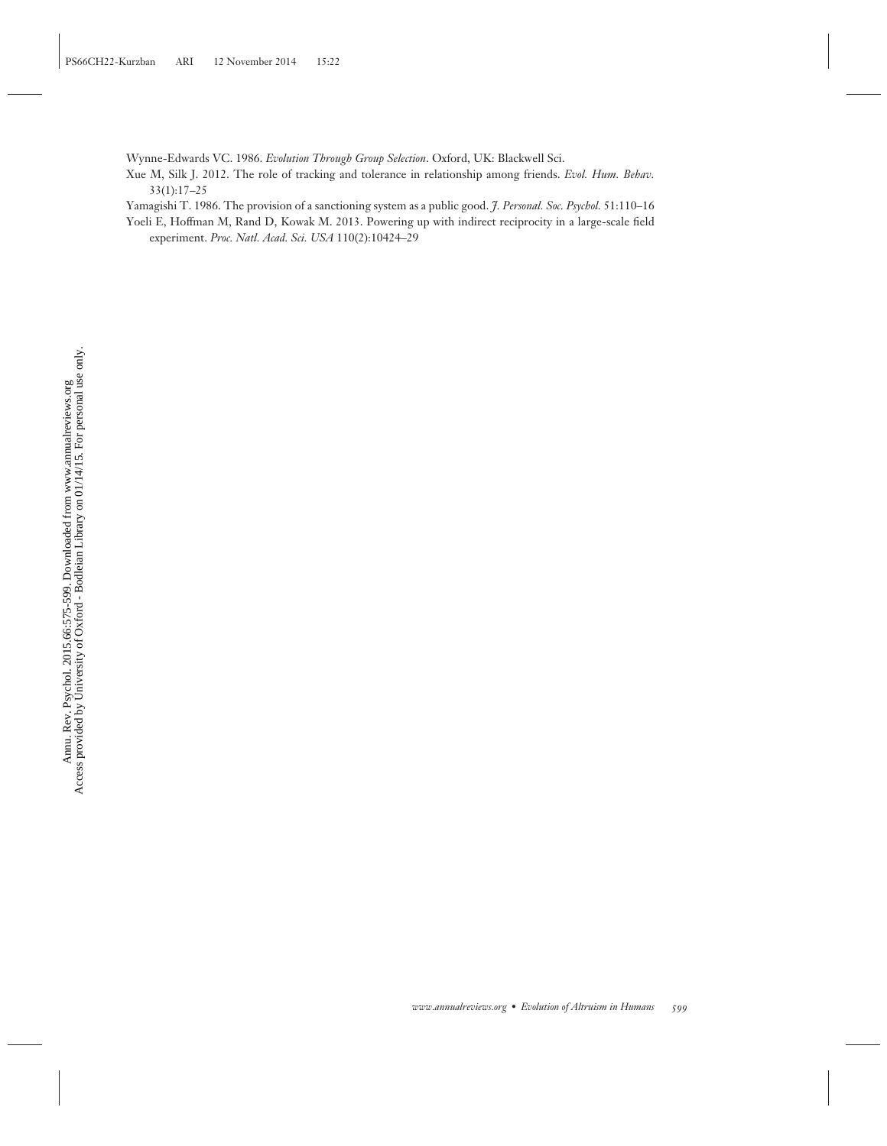Wynne-Edwards VC. 1986. *Evolution Through Group Selection*. Oxford, UK: Blackwell Sci.

Xue M, Silk J. 2012. The role of tracking and tolerance in relationship among friends. *Evol. Hum. Behav.* 33(1):17–25

Yamagishi T. 1986. The provision of a sanctioning system as a public good. *J. Personal. Soc. Psychol.* 51:110–16

Yoeli E, Hoffman M, Rand D, Kowak M. 2013. Powering up with indirect reciprocity in a large-scale field experiment. *Proc. Natl. Acad. Sci. USA* 110(2):10424–29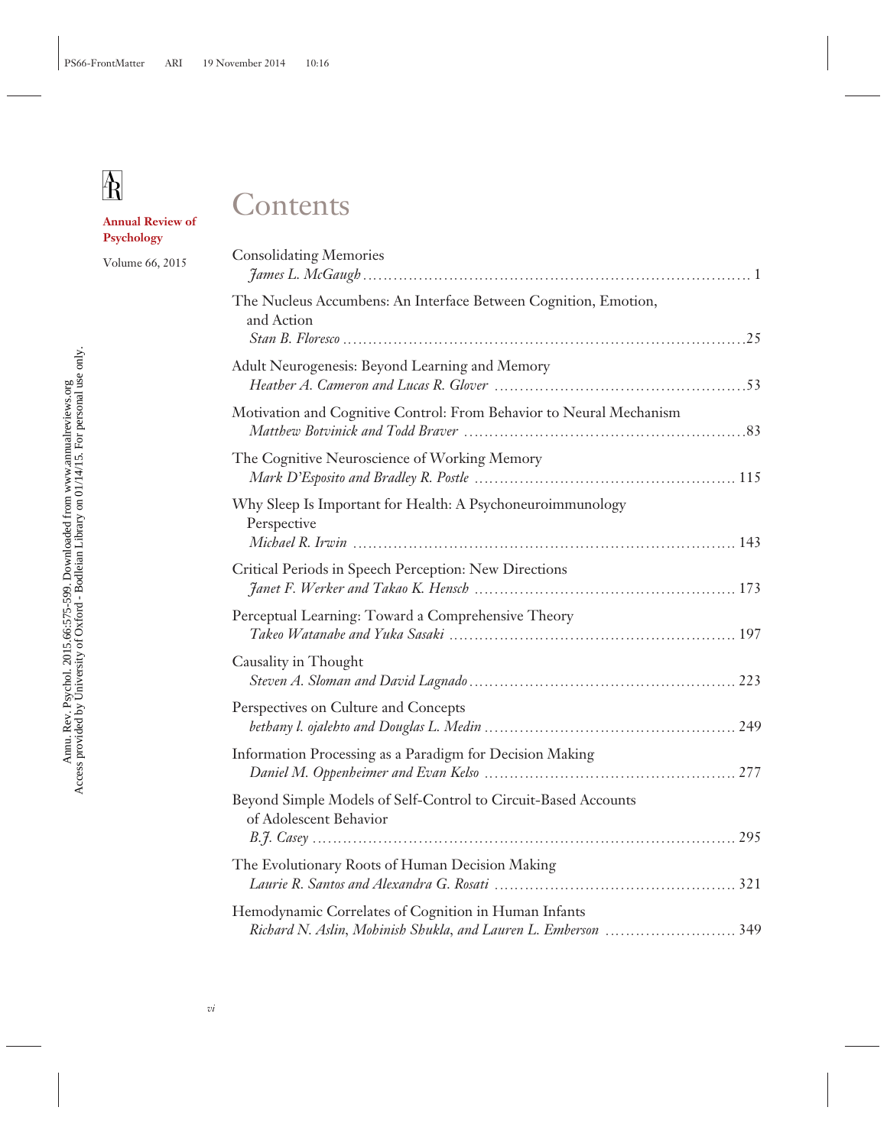# $\overline{\text{R}}$

# **Annual Review of Psychology**

Volume 66, 2015

# Contents

| <b>Consolidating Memories</b>                                                                                          |
|------------------------------------------------------------------------------------------------------------------------|
| The Nucleus Accumbens: An Interface Between Cognition, Emotion,<br>and Action                                          |
| Adult Neurogenesis: Beyond Learning and Memory                                                                         |
| Motivation and Cognitive Control: From Behavior to Neural Mechanism                                                    |
| The Cognitive Neuroscience of Working Memory                                                                           |
| Why Sleep Is Important for Health: A Psychoneuroimmunology<br>Perspective                                              |
| Critical Periods in Speech Perception: New Directions                                                                  |
| Perceptual Learning: Toward a Comprehensive Theory                                                                     |
| Causality in Thought                                                                                                   |
| Perspectives on Culture and Concepts                                                                                   |
| Information Processing as a Paradigm for Decision Making                                                               |
| Beyond Simple Models of Self-Control to Circuit-Based Accounts<br>of Adolescent Behavior                               |
| The Evolutionary Roots of Human Decision Making                                                                        |
| Hemodynamic Correlates of Cognition in Human Infants<br>Richard N. Aslin, Mohinish Shukla, and Lauren L. Emberson  349 |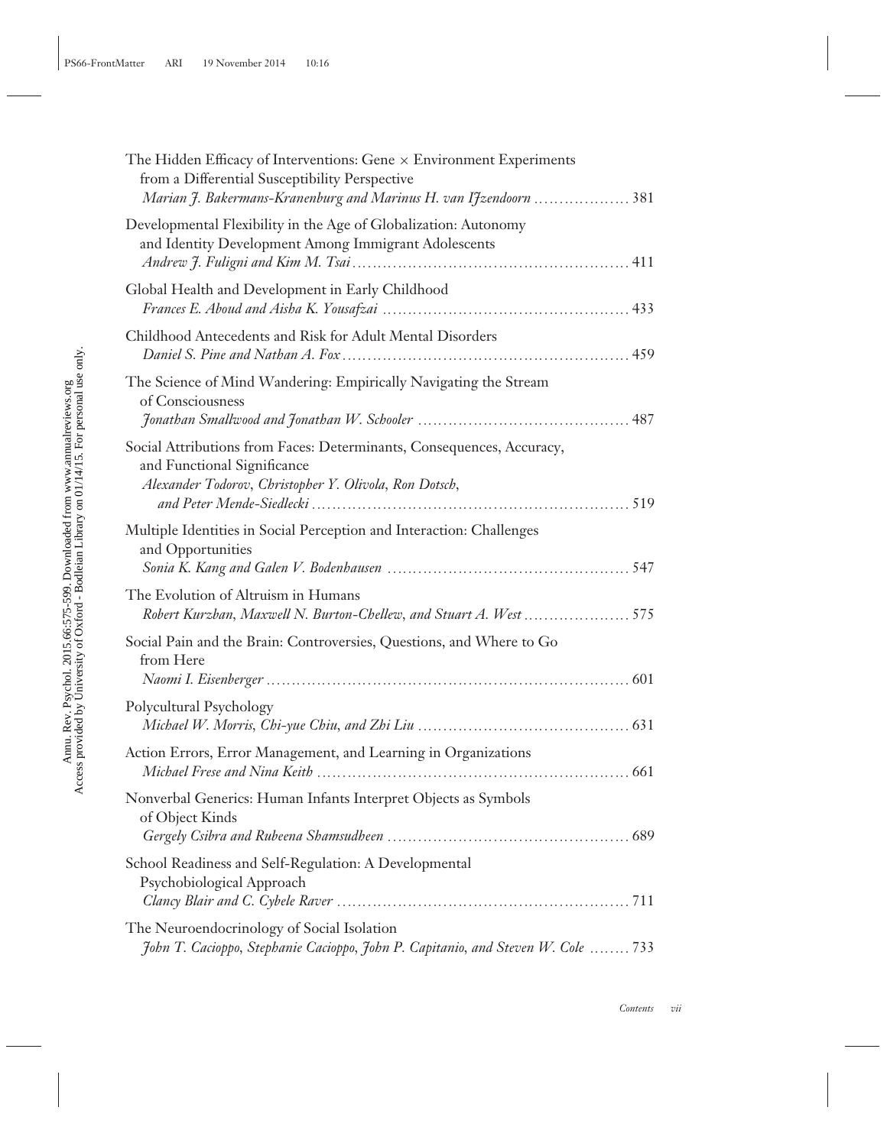| The Hidden Efficacy of Interventions: Gene $\times$ Environment Experiments<br>from a Differential Susceptibility Perspective<br>Marian J. Bakermans-Kranenburg and Marinus H. van IJzendoorn  381 |  |
|----------------------------------------------------------------------------------------------------------------------------------------------------------------------------------------------------|--|
| Developmental Flexibility in the Age of Globalization: Autonomy<br>and Identity Development Among Immigrant Adolescents                                                                            |  |
| Global Health and Development in Early Childhood                                                                                                                                                   |  |
| Childhood Antecedents and Risk for Adult Mental Disorders                                                                                                                                          |  |
| The Science of Mind Wandering: Empirically Navigating the Stream<br>of Consciousness                                                                                                               |  |
|                                                                                                                                                                                                    |  |
| Social Attributions from Faces: Determinants, Consequences, Accuracy,<br>and Functional Significance<br>Alexander Todorov, Christopher Y. Olivola, Ron Dotsch,                                     |  |
|                                                                                                                                                                                                    |  |
| Multiple Identities in Social Perception and Interaction: Challenges<br>and Opportunities                                                                                                          |  |
| The Evolution of Altruism in Humans<br>Robert Kurzban, Maxwell N. Burton-Chellew, and Stuart A. West  575                                                                                          |  |
| Social Pain and the Brain: Controversies, Questions, and Where to Go<br>from Here                                                                                                                  |  |
| Polycultural Psychology                                                                                                                                                                            |  |
| Action Errors, Error Management, and Learning in Organizations                                                                                                                                     |  |
| Nonverbal Generics: Human Infants Interpret Objects as Symbols<br>of Object Kinds                                                                                                                  |  |
| School Readiness and Self-Regulation: A Developmental<br>Psychobiological Approach                                                                                                                 |  |
| The Neuroendocrinology of Social Isolation<br>John T. Cacioppo, Stephanie Cacioppo, John P. Capitanio, and Steven W. Cole  733                                                                     |  |